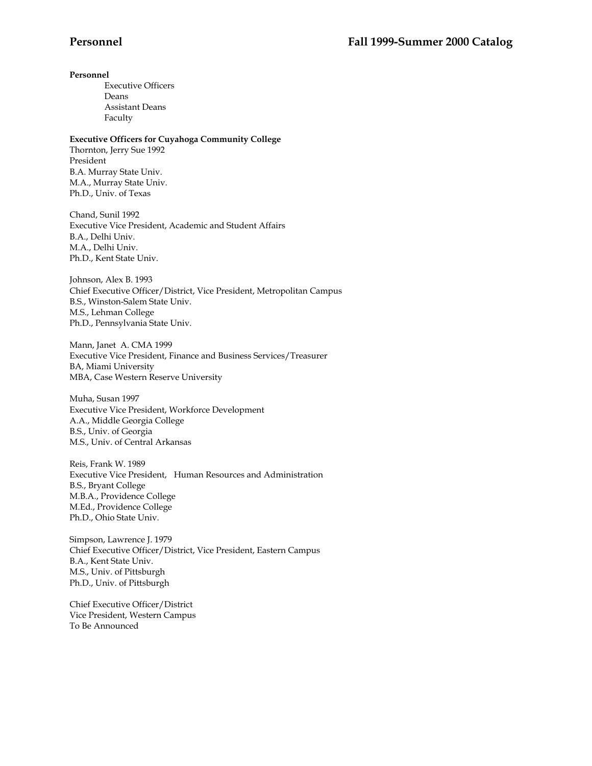### **Personnel**

 Executive Officers Deans Assistant Deans Faculty

### **Executive Officers for Cuyahoga Community College**

Thornton, Jerry Sue 1992 President B.A. Murray State Univ. M.A., Murray State Univ. Ph.D., Univ. of Texas

Chand, Sunil 1992 Executive Vice President, Academic and Student Affairs B.A., Delhi Univ. M.A., Delhi Univ. Ph.D., Kent State Univ.

Johnson, Alex B. 1993 Chief Executive Officer/District, Vice President, Metropolitan Campus B.S., Winston-Salem State Univ. M.S., Lehman College Ph.D., Pennsylvania State Univ.

Mann, Janet A. CMA 1999 Executive Vice President, Finance and Business Services/Treasurer BA, Miami University MBA, Case Western Reserve University

Muha, Susan 1997 Executive Vice President, Workforce Development A.A., Middle Georgia College B.S., Univ. of Georgia M.S., Univ. of Central Arkansas

Reis, Frank W. 1989 Executive Vice President, Human Resources and Administration B.S., Bryant College M.B.A., Providence College M.Ed., Providence College Ph.D., Ohio State Univ.

Simpson, Lawrence J. 1979 Chief Executive Officer/District, Vice President, Eastern Campus B.A., Kent State Univ. M.S., Univ. of Pittsburgh Ph.D., Univ. of Pittsburgh

Chief Executive Officer/District Vice President, Western Campus To Be Announced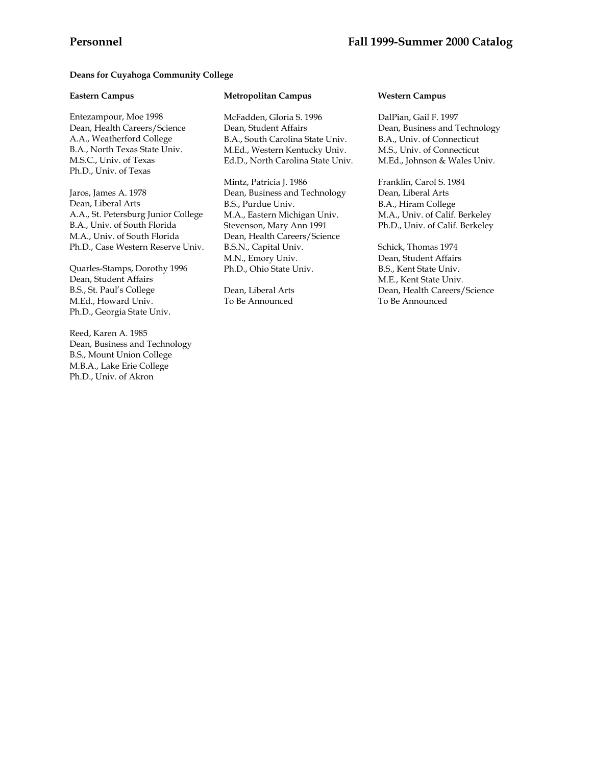### **Deans for Cuyahoga Community College**

### **Eastern Campus**

Entezampour, Moe 1998 Dean, Health Careers/Science A.A., Weatherford College B.A., North Texas State Univ. M.S.C., Univ. of Texas Ph.D., Univ. of Texas

Jaros, James A. 1978 Dean, Liberal Arts A.A., St. Petersburg Junior College B.A., Univ. of South Florida M.A., Univ. of South Florida Ph.D., Case Western Reserve Univ.

Quarles-Stamps, Dorothy 1996 Dean, Student Affairs B.S., St. Paul's College M.Ed., Howard Univ. Ph.D., Georgia State Univ.

Reed, Karen A. 1985 Dean, Business and Technology B.S., Mount Union College M.B.A., Lake Erie College Ph.D., Univ. of Akron

### **Metropolitan Campus**

McFadden, Gloria S. 1996 Dean, Student Affairs B.A., South Carolina State Univ. M.Ed., Western Kentucky Univ. Ed.D., North Carolina State Univ.

Mintz, Patricia J. 1986 Dean, Business and Technology B.S., Purdue Univ. M.A., Eastern Michigan Univ. Stevenson, Mary Ann 1991 Dean, Health Careers/Science B.S.N., Capital Univ. M.N., Emory Univ. Ph.D., Ohio State Univ.

Dean, Liberal Arts To Be Announced

### **Western Campus**

DalPian, Gail F. 1997 Dean, Business and Technology B.A., Univ. of Connecticut M.S., Univ. of Connecticut M.Ed., Johnson & Wales Univ.

Franklin, Carol S. 1984 Dean, Liberal Arts B.A., Hiram College M.A., Univ. of Calif. Berkeley Ph.D., Univ. of Calif. Berkeley

Schick, Thomas 1974 Dean, Student Affairs B.S., Kent State Univ. M.E., Kent State Univ. Dean, Health Careers/Science To Be Announced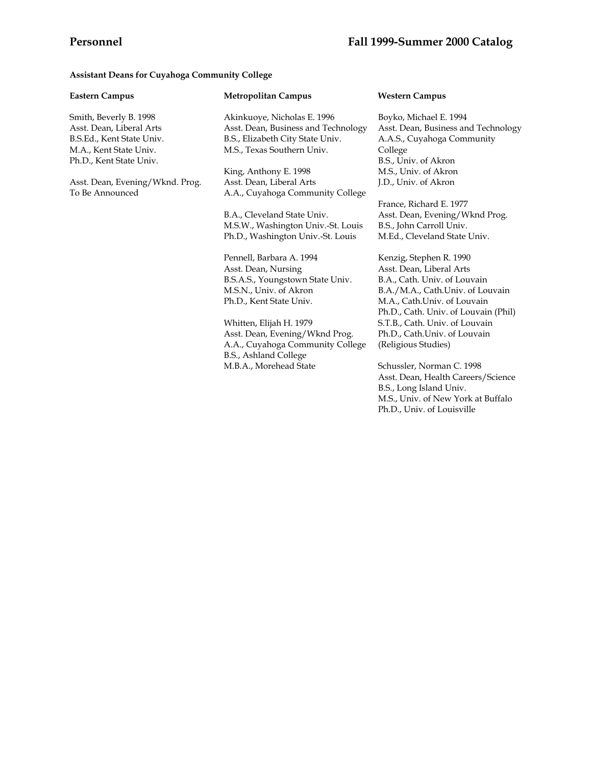# **Assistant Deans for Cuyahoga Community College**

| <b>Eastern Campus</b>                                                                                                                | <b>Metropolitan Campus</b>                                                                                                           | <b>Western Campus</b>                                                                                                                                          |  |
|--------------------------------------------------------------------------------------------------------------------------------------|--------------------------------------------------------------------------------------------------------------------------------------|----------------------------------------------------------------------------------------------------------------------------------------------------------------|--|
| Smith, Beverly B. 1998<br>Asst. Dean, Liberal Arts<br>B.S.Ed., Kent State Univ.<br>M.A., Kent State Univ.<br>Ph.D., Kent State Univ. | Akinkuoye, Nicholas E. 1996<br>Asst. Dean, Business and Technology<br>B.S., Elizabeth City State Univ.<br>M.S., Texas Southern Univ. | Boyko, Michael E. 1994<br>Asst. Dean, Business and Technology<br>A.A.S., Cuyahoga Community<br>College<br>B.S., Univ. of Akron                                 |  |
|                                                                                                                                      | King, Anthony E. 1998                                                                                                                | M.S., Univ. of Akron                                                                                                                                           |  |
| Asst. Dean, Evening/Wknd. Prog.<br>To Be Announced                                                                                   | Asst. Dean, Liberal Arts<br>A.A., Cuyahoga Community College                                                                         | J.D., Univ. of Akron                                                                                                                                           |  |
|                                                                                                                                      |                                                                                                                                      | France, Richard E. 1977                                                                                                                                        |  |
|                                                                                                                                      | B.A., Cleveland State Univ.                                                                                                          | Asst. Dean, Evening/Wknd Prog.                                                                                                                                 |  |
|                                                                                                                                      | M.S.W., Washington Univ.-St. Louis                                                                                                   | B.S., John Carroll Univ.                                                                                                                                       |  |
|                                                                                                                                      | Ph.D., Washington Univ.-St. Louis                                                                                                    | M.Ed., Cleveland State Univ.                                                                                                                                   |  |
|                                                                                                                                      | Pennell, Barbara A. 1994                                                                                                             | Kenzig, Stephen R. 1990                                                                                                                                        |  |
|                                                                                                                                      | Asst. Dean, Nursing                                                                                                                  | Asst. Dean, Liberal Arts                                                                                                                                       |  |
|                                                                                                                                      | B.S.A.S., Youngstown State Univ.                                                                                                     | B.A., Cath. Univ. of Louvain                                                                                                                                   |  |
|                                                                                                                                      | M.S.N., Univ. of Akron                                                                                                               | B.A./M.A., Cath.Univ. of Louvain                                                                                                                               |  |
|                                                                                                                                      | Ph.D., Kent State Univ.                                                                                                              | M.A., Cath.Univ. of Louvain                                                                                                                                    |  |
|                                                                                                                                      |                                                                                                                                      | Ph.D., Cath. Univ. of Louvain (Phil)                                                                                                                           |  |
|                                                                                                                                      | Whitten, Elijah H. 1979                                                                                                              | S.T.B., Cath. Univ. of Louvain                                                                                                                                 |  |
|                                                                                                                                      | Asst. Dean, Evening/Wknd Prog.                                                                                                       | Ph.D., Cath.Univ. of Louvain                                                                                                                                   |  |
|                                                                                                                                      | A.A., Cuyahoga Community College<br>B.S., Ashland College                                                                            | (Religious Studies)                                                                                                                                            |  |
|                                                                                                                                      | M.B.A., Morehead State                                                                                                               | Schussler, Norman C. 1998<br>Asst. Dean, Health Careers/Science<br>B.S., Long Island Univ.<br>M.S., Univ. of New York at Buffalo<br>Ph.D., Univ. of Louisville |  |
|                                                                                                                                      |                                                                                                                                      |                                                                                                                                                                |  |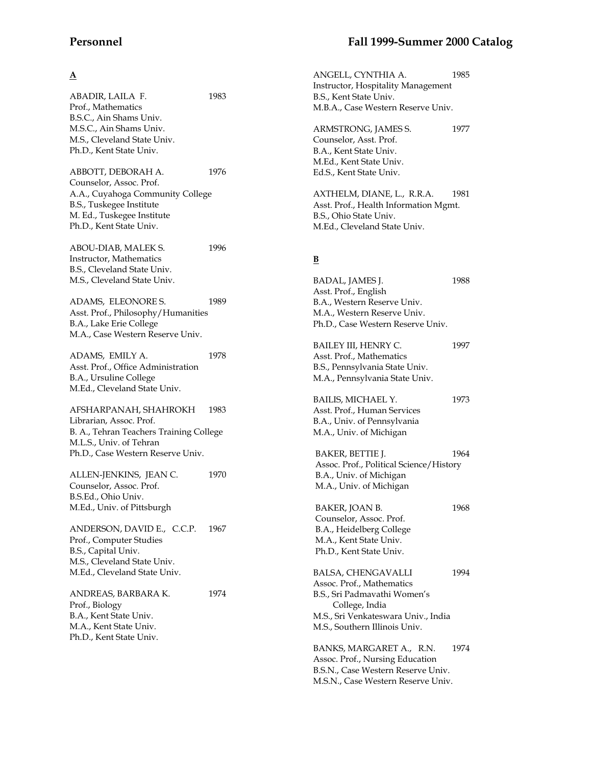# **A**

ABADIR, LAILA F. 1983 Prof., Mathematics B.S.C., Ain Shams Univ. M.S.C., Ain Shams Univ. M.S., Cleveland State Univ. Ph.D., Kent State Univ. ABBOTT, DEBORAH A. 1976 Counselor, Assoc. Prof. A.A., Cuyahoga Community College B.S., Tuskegee Institute M. Ed., Tuskegee Institute Ph.D., Kent State Univ. ABOU-DIAB, MALEK S. 1996 Instructor, Mathematics B.S., Cleveland State Univ. M.S., Cleveland State Univ. ADAMS, ELEONORE S. 1989 Asst. Prof., Philosophy/Humanities B.A., Lake Erie College M.A., Case Western Reserve Univ. ADAMS, EMILY A. 1978 Asst. Prof., Office Administration B.A., Ursuline College M.Ed., Cleveland State Univ. AFSHARPANAH, SHAHROKH 1983 Librarian, Assoc. Prof. B. A., Tehran Teachers Training College M.L.S., Univ. of Tehran Ph.D., Case Western Reserve Univ. ALLEN-JENKINS, JEAN C. 1970 Counselor, Assoc. Prof. B.S.Ed., Ohio Univ. M.Ed., Univ. of Pittsburgh ANDERSON, DAVID E., C.C.P. 1967 Prof., Computer Studies B.S., Capital Univ. M.S., Cleveland State Univ. M.Ed., Cleveland State Univ. ANDREAS, BARBARA K. 1974 Prof., Biology B.A., Kent State Univ. M.A., Kent State Univ. Ph.D., Kent State Univ.

ANGELL, CYNTHIA A. 1985 Instructor, Hospitality Management B.S., Kent State Univ. M.B.A., Case Western Reserve Univ.

ARMSTRONG, JAMES S. 1977 Counselor, Asst. Prof. B.A., Kent State Univ. M.Ed., Kent State Univ. Ed.S., Kent State Univ.

AXTHELM, DIANE, L., R.R.A. 1981 Asst. Prof., Health Information Mgmt. B.S., Ohio State Univ. M.Ed., Cleveland State Univ.

# **B**

| BADAL, JAMES J.<br>Asst. Prof., English<br>B.A., Western Reserve Univ.<br>M.A., Western Reserve Univ.<br>Ph.D., Case Western Reserve Univ.                                       | 1988 |
|----------------------------------------------------------------------------------------------------------------------------------------------------------------------------------|------|
| BAILEY III, HENRY C.<br>Asst. Prof., Mathematics<br>B.S., Pennsylvania State Univ.<br>M.A., Pennsylvania State Univ.                                                             | 1997 |
| BAILIS, MICHAEL Y.<br>Asst. Prof., Human Services<br>B.A., Univ. of Pennsylvania<br>M.A., Univ. of Michigan                                                                      | 1973 |
| BAKER, BETTIE J.<br>Assoc. Prof., Political Science/History<br>B.A., Univ. of Michigan<br>M.A., Univ. of Michigan                                                                | 1964 |
| BAKER, JOAN B.<br>Counselor, Assoc. Prof.<br>B.A., Heidelberg College<br>M.A., Kent State Univ.<br>Ph.D., Kent State Univ.                                                       | 1968 |
| <b>BALSA, CHENGAVALLI</b><br>Assoc. Prof., Mathematics<br>B.S., Sri Padmavathi Women's<br>College, India<br>M.S., Sri Venkateswara Univ., India<br>M.S., Southern Illinois Univ. | 1994 |
| BANKS, MARGARET A., R.N.<br>Assoc. Prof., Nursing Education                                                                                                                      | 1974 |

Assoc. Prof., Nursing Education B.S.N., Case Western Reserve Univ. M.S.N., Case Western Reserve Univ.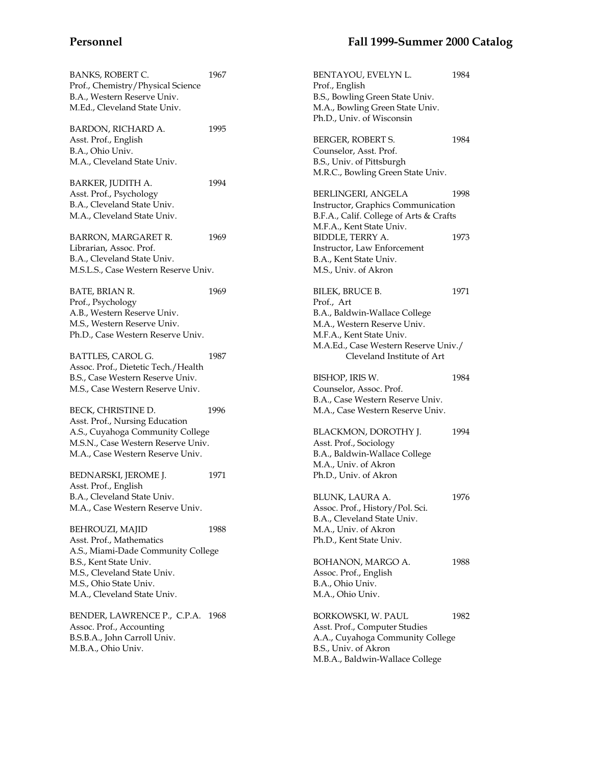1984

| BANKS, ROBERT C.                     | 1967 | BENTAYOU, EVELYN L.                     | 1984 |
|--------------------------------------|------|-----------------------------------------|------|
| Prof., Chemistry/Physical Science    |      | Prof., English                          |      |
| B.A., Western Reserve Univ.          |      | B.S., Bowling Green State Univ.         |      |
| M.Ed., Cleveland State Univ.         |      | M.A., Bowling Green State Univ.         |      |
|                                      |      | Ph.D., Univ. of Wisconsin               |      |
| <b>BARDON, RICHARD A.</b>            | 1995 |                                         |      |
| Asst. Prof., English                 |      | BERGER, ROBERT S.                       | 1984 |
| B.A., Ohio Univ.                     |      | Counselor, Asst. Prof.                  |      |
| M.A., Cleveland State Univ.          |      | B.S., Univ. of Pittsburgh               |      |
|                                      |      | M.R.C., Bowling Green State Univ.       |      |
| BARKER <i>,</i> JUDITH A.            | 1994 |                                         |      |
| Asst. Prof., Psychology              |      | BERLINGERI, ANGELA                      | 1998 |
| B.A., Cleveland State Univ.          |      | Instructor, Graphics Communication      |      |
| M.A., Cleveland State Univ.          |      | B.F.A., Calif. College of Arts & Crafts |      |
|                                      |      | M.F.A., Kent State Univ.                |      |
| BARRON, MARGARET R.                  | 1969 | BIDDLE, TERRY A.                        | 1973 |
| Librarian, Assoc. Prof.              |      | Instructor, Law Enforcement             |      |
| B.A., Cleveland State Univ.          |      | B.A., Kent State Univ.                  |      |
| M.S.L.S., Case Western Reserve Univ. |      | M.S., Univ. of Akron                    |      |
|                                      |      |                                         |      |
| BATE, BRIAN R.                       | 1969 | BILEK, BRUCE B.                         | 1971 |
| Prof., Psychology                    |      | Prof., Art                              |      |
| A.B., Western Reserve Univ.          |      | B.A., Baldwin-Wallace College           |      |
| M.S., Western Reserve Univ.          |      | M.A., Western Reserve Univ.             |      |
| Ph.D., Case Western Reserve Univ.    |      | M.F.A., Kent State Univ.                |      |
|                                      |      | M.A.Ed., Case Western Reserve Univ./    |      |
| BATTLES, CAROL G.                    | 1987 | Cleveland Institute of Art              |      |
| Assoc. Prof., Dietetic Tech./Health  |      |                                         |      |
| B.S., Case Western Reserve Univ.     |      | BISHOP, IRIS W.                         | 1984 |
| M.S., Case Western Reserve Univ.     |      | Counselor, Assoc. Prof.                 |      |
|                                      |      | B.A., Case Western Reserve Univ.        |      |
| BECK, CHRISTINE D.                   | 1996 | M.A., Case Western Reserve Univ.        |      |
| Asst. Prof., Nursing Education       |      |                                         |      |
| A.S., Cuyahoga Community College     |      | BLACKMON, DOROTHY J.                    | 1994 |
| M.S.N., Case Western Reserve Univ.   |      | Asst. Prof., Sociology                  |      |
| M.A., Case Western Reserve Univ.     |      | B.A., Baldwin-Wallace College           |      |
|                                      |      | M.A., Univ. of Akron                    |      |
| BEDNARSKI, JEROME J.                 | 1971 | Ph.D., Univ. of Akron                   |      |
| Asst. Prof., English                 |      |                                         |      |
| B.A., Cleveland State Univ.          |      | BLUNK, LAURA A.                         | 1976 |
| M.A., Case Western Reserve Univ.     |      | Assoc. Prof., History/Pol. Sci.         |      |
|                                      |      | B.A., Cleveland State Univ.             |      |
| BEHROUZI, MAJID                      | 1988 | M.A., Univ. of Akron                    |      |
| Asst. Prof., Mathematics             |      | Ph.D., Kent State Univ.                 |      |
| A.S., Miami-Dade Community College   |      |                                         |      |
| B.S., Kent State Univ.               |      | BOHANON, MARGO A.                       | 1988 |
| M.S., Cleveland State Univ.          |      | Assoc. Prof., English                   |      |
| M.S., Ohio State Univ.               |      | B.A., Ohio Univ.                        |      |
| M.A., Cleveland State Univ.          |      | M.A., Ohio Univ.                        |      |
|                                      |      |                                         |      |
| BENDER, LAWRENCE P., C.P.A. 1968     |      | BORKOWSKI, W. PAUL                      | 1982 |
| Assoc. Prof., Accounting             |      | Asst. Prof., Computer Studies           |      |
| B.S.B.A., John Carroll Univ.         |      | A.A., Cuyahoga Community College        |      |
| M.B.A., Ohio Univ.                   |      | B.S., Univ. of Akron                    |      |
|                                      |      |                                         |      |
|                                      |      | M.B.A., Baldwin-Wallace College         |      |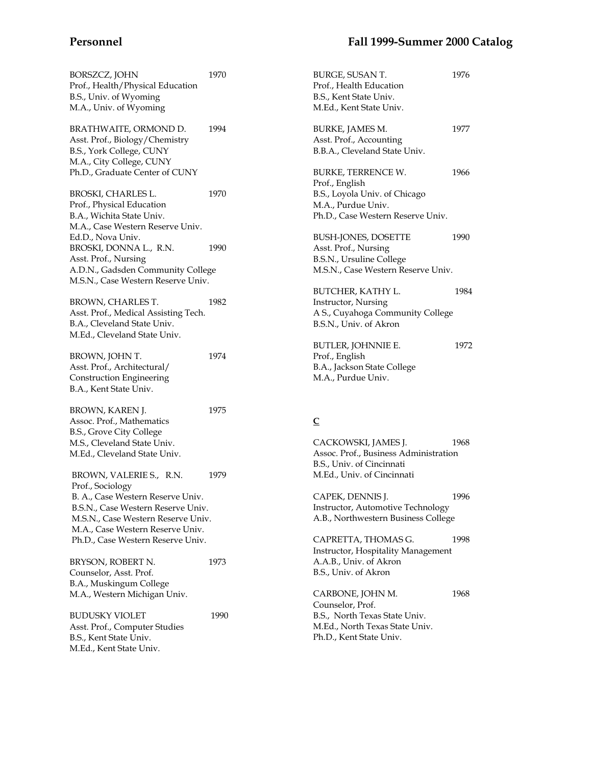| BORSZCZ, JOHN<br>Prof., Health/Physical Education<br>B.S., Univ. of Wyoming<br>M.A., Univ. of Wyoming                                                                                                                                 | 1970 |
|---------------------------------------------------------------------------------------------------------------------------------------------------------------------------------------------------------------------------------------|------|
| BRATHWAITE, ORMOND D.<br>Asst. Prof., Biology/Chemistry<br>B.S., York College, CUNY<br>M.A., City College, CUNY<br>Ph.D., Graduate Center of CUNY                                                                                     | 1994 |
| BROSKI, CHARLES L.<br>Prof., Physical Education<br>B.A., Wichita State Univ.<br>M.A., Case Western Reserve Univ.<br>Ed.D., Nova Univ.                                                                                                 | 1970 |
| BROSKI, DONNA L., R.N.<br>Asst. Prof., Nursing<br>A.D.N., Gadsden Community College<br>M.S.N., Case Western Reserve Univ.                                                                                                             | 1990 |
| BROWN, CHARLES T.<br>Asst. Prof., Medical Assisting Tech.<br>B.A., Cleveland State Univ.<br>M.Ed., Cleveland State Univ.                                                                                                              | 1982 |
| BROWN, JOHN T.<br>Asst. Prof., Architectural/<br><b>Construction Engineering</b><br>B.A., Kent State Univ.                                                                                                                            | 1974 |
| BROWN, KAREN J.<br>Assoc. Prof., Mathematics<br>B.S., Grove City College<br>M.S., Cleveland State Univ.<br>M.Ed., Cleveland State Univ.                                                                                               | 1975 |
| BROWN, VALERIE S., R.N.<br>Prof., Sociology<br>B. A., Case Western Reserve Univ.<br>B.S.N., Case Western Reserve Univ.<br>M.S.N., Case Western Reserve Univ.<br>M.A., Case Western Reserve Univ.<br>Ph.D., Case Western Reserve Univ. | 1979 |
| BRYSON, ROBERT N.<br>Counselor, Asst. Prof.<br>B.A., Muskingum College<br>M.A., Western Michigan Univ.                                                                                                                                | 1973 |
| <b>BUDUSKY VIOLET</b><br>Asst. Prof., Computer Studies<br>B.S., Kent State Univ.<br>M.Ed., Kent State Univ.                                                                                                                           | 1990 |

| BURGE, SUSAN T.<br>Prof., Health Education<br>B.S., Kent State Univ.<br>M.Ed., Kent State Univ.                                  | 1976 |
|----------------------------------------------------------------------------------------------------------------------------------|------|
| BURKE, JAMES M.<br>Asst. Prof., Accounting<br>B.B.A., Cleveland State Univ.                                                      | 1977 |
| BURKE, TERRENCE W.<br>Prof., English<br>B.S., Loyola Univ. of Chicago<br>M.A., Purdue Univ.<br>Ph.D., Case Western Reserve Univ. | 1966 |
| BUSH-JONES, DOSETTE<br>Asst. Prof., Nursing<br>B.S.N., Ursuline College<br>M.S.N., Case Western Reserve Univ.                    | 1990 |
| BUTCHER, KATHY L.<br>Instructor, Nursing<br>A S., Cuyahoga Community College<br>B.S.N., Univ. of Akron                           | 1984 |
| BUTLER, JOHNNIE E.<br>Prof., English<br>B.A., Jackson State College<br>M.A. <i>,</i> Purdue Univ.                                | 1972 |
| $\overline{C}$                                                                                                                   |      |
| CACKOWSKI, JAMES J.<br>Assoc. Prof., Business Administration<br>B.S., Univ. of Cincinnati<br>M.Ed., Univ. of Cincinnati          | 1968 |
| CAPEK, DENNIS J.<br>Instructor, Automotive Technology<br>A.B., Northwestern Business College                                     | 1996 |
| CAPRETTA, THOMAS G.<br>Instructor, Hospitality Management<br>A.A.B., Univ. of Akron<br>B.S., Univ. of Akron                      | 1998 |

CARBONE, JOHN M. 1968 Counselor, Prof. B.S., North Texas State Univ. M.Ed., North Texas State Univ. Ph.D., Kent State Univ.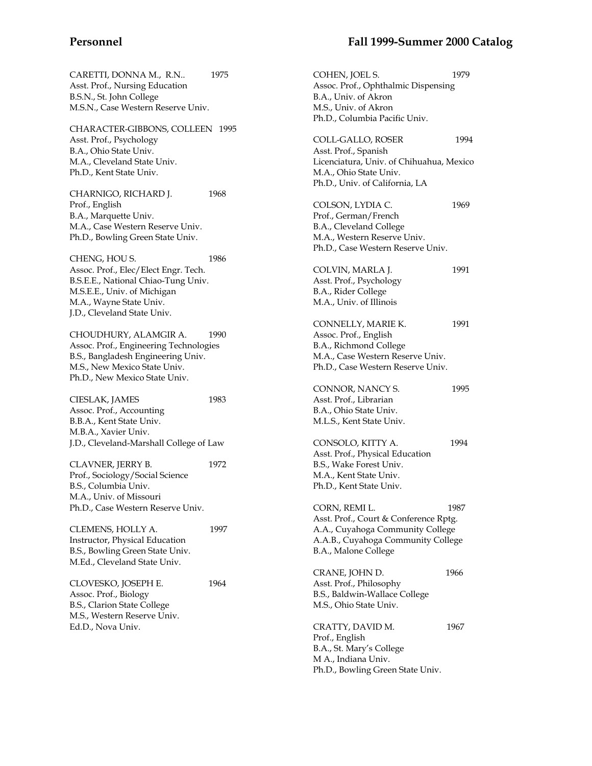CHARACTER-GIBBONS, COLLEEN 1995 Asst. Prof., Psychology B.A., Ohio State Univ. M.A., Cleveland State Univ. Ph.D., Kent State Univ.

M.S.N., Case Western Reserve Univ.

CHARNIGO, RICHARD J. 1968 Prof., English B.A., Marquette Univ. M.A., Case Western Reserve Univ. Ph.D., Bowling Green State Univ.

CHENG, HOU S. 1986 Assoc. Prof., Elec/Elect Engr. Tech. B.S.E.E., National Chiao-Tung Univ. M.S.E.E., Univ. of Michigan M.A., Wayne State Univ. J.D., Cleveland State Univ.

CHOUDHURY, ALAMGIR A. 1990 Assoc. Prof., Engineering Technologies B.S., Bangladesh Engineering Univ. M.S., New Mexico State Univ. Ph.D., New Mexico State Univ.

CIESLAK, JAMES 1983 Assoc. Prof., Accounting B.B.A., Kent State Univ. M.B.A., Xavier Univ. J.D., Cleveland-Marshall College of Law

CLAVNER, JERRY B. 1972 Prof., Sociology/Social Science B.S., Columbia Univ. M.A., Univ. of Missouri Ph.D., Case Western Reserve Univ.

CLEMENS, HOLLY A. 1997 Instructor, Physical Education B.S., Bowling Green State Univ. M.Ed., Cleveland State Univ.

CLOVESKO, JOSEPH E. 1964 Assoc. Prof., Biology B.S., Clarion State College M.S., Western Reserve Univ. Ed.D., Nova Univ.

## **Personnel Fall 1999-Summer 2000 Catalog**

COHEN, JOEL S. 1979 Assoc. Prof., Ophthalmic Dispensing B.A., Univ. of Akron M.S., Univ. of Akron Ph.D., Columbia Pacific Univ. COLL-GALLO, ROSER 1994 Asst. Prof., Spanish Licenciatura, Univ. of Chihuahua, Mexico M.A., Ohio State Univ. Ph.D., Univ. of California, LA COLSON, LYDIA C. 1969 Prof., German/French B.A., Cleveland College M.A., Western Reserve Univ. Ph.D., Case Western Reserve Univ. COLVIN, MARLA J. 1991 Asst. Prof., Psychology B.A., Rider College M.A., Univ. of Illinois CONNELLY, MARIE K. 1991 Assoc. Prof., English B.A., Richmond College M.A., Case Western Reserve Univ. Ph.D., Case Western Reserve Univ. CONNOR, NANCY S. 2995 Asst. Prof., Librarian B.A., Ohio State Univ. M.L.S., Kent State Univ. CONSOLO, KITTY A. 1994 Asst. Prof., Physical Education B.S., Wake Forest Univ. M.A., Kent State Univ. Ph.D., Kent State Univ. CORN, REMI L. 1987 Asst. Prof., Court & Conference Rptg. A.A., Cuyahoga Community College A.A.B., Cuyahoga Community College B.A., Malone College CRANE, JOHN D. 1966 Asst. Prof., Philosophy B.S., Baldwin-Wallace College M.S., Ohio State Univ. CRATTY, DAVID M. 1967 Prof., English B.A., St. Mary's College M A., Indiana Univ. Ph.D., Bowling Green State Univ.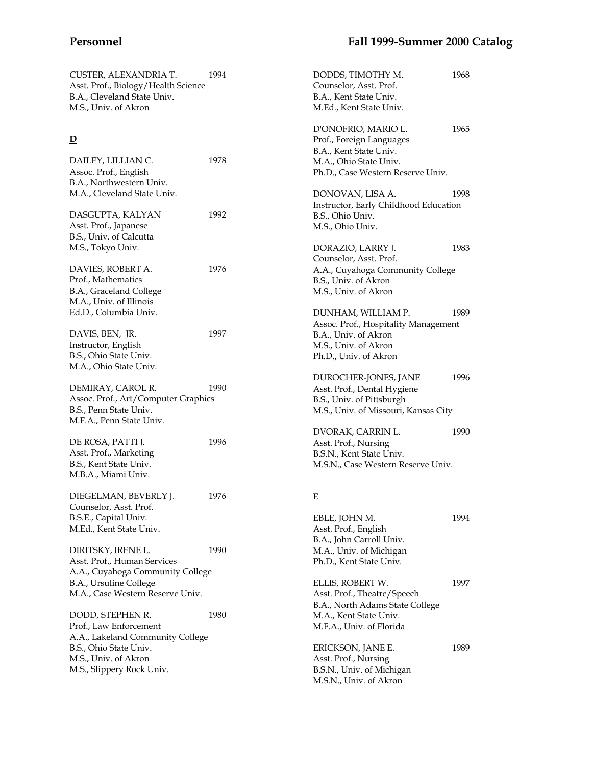| CUSTER, ALEXANDRIA T.<br>Asst. Prof., Biology/Health Science<br>B.A., Cleveland State Univ.<br>M.S., Univ. of Akron | 1994 | DODDS, TIMOTHY M.<br>Counselor, Asst. Prof.<br>B.A., Kent State Univ.<br>M.Ed., Kent State Univ. | 1968 |
|---------------------------------------------------------------------------------------------------------------------|------|--------------------------------------------------------------------------------------------------|------|
| $\overline{\mathbf{D}}$                                                                                             |      | D'ONOFRIO, MARIO L.<br>Prof., Foreign Languages<br>B.A., Kent State Univ.                        | 1965 |
| DAILEY, LILLIAN C.                                                                                                  | 1978 | M.A., Ohio State Univ.                                                                           |      |
| Assoc. Prof., English                                                                                               |      | Ph.D., Case Western Reserve Univ.                                                                |      |
| B.A., Northwestern Univ.                                                                                            |      |                                                                                                  |      |
| M.A., Cleveland State Univ.                                                                                         |      | DONOVAN, LISA A.                                                                                 | 1998 |
|                                                                                                                     |      | Instructor, Early Childhood Education                                                            |      |
| DASGUPTA, KALYAN                                                                                                    | 1992 | B.S., Ohio Univ.                                                                                 |      |
| Asst. Prof., Japanese                                                                                               |      | M.S., Ohio Univ.                                                                                 |      |
| B.S., Univ. of Calcutta                                                                                             |      |                                                                                                  |      |
| M.S., Tokyo Univ.                                                                                                   |      | DORAZIO, LARRY J.                                                                                | 1983 |
|                                                                                                                     | 1976 | Counselor, Asst. Prof.                                                                           |      |
| DAVIES, ROBERT A.<br>Prof., Mathematics                                                                             |      | A.A., Cuyahoga Community College<br>B.S., Univ. of Akron                                         |      |
| B.A., Graceland College                                                                                             |      | M.S., Univ. of Akron                                                                             |      |
| M.A., Univ. of Illinois                                                                                             |      |                                                                                                  |      |
| Ed.D., Columbia Univ.                                                                                               |      | DUNHAM, WILLIAM P.                                                                               | 1989 |
|                                                                                                                     |      | Assoc. Prof., Hospitality Management                                                             |      |
| DAVIS, BEN, JR.                                                                                                     | 1997 | B.A., Univ. of Akron                                                                             |      |
| Instructor, English                                                                                                 |      | M.S., Univ. of Akron                                                                             |      |
| B.S., Ohio State Univ.                                                                                              |      | Ph.D., Univ. of Akron                                                                            |      |
| M.A., Ohio State Univ.                                                                                              |      |                                                                                                  |      |
|                                                                                                                     |      | DUROCHER-JONES, JANE                                                                             | 1996 |
| DEMIRAY, CAROL R.                                                                                                   | 1990 | Asst. Prof., Dental Hygiene                                                                      |      |
| Assoc. Prof., Art/Computer Graphics                                                                                 |      | B.S., Univ. of Pittsburgh                                                                        |      |
| B.S., Penn State Univ.<br>M.F.A., Penn State Univ.                                                                  |      | M.S., Univ. of Missouri, Kansas City                                                             |      |
|                                                                                                                     |      | DVORAK, CARRIN L.                                                                                | 1990 |
| DE ROSA, PATTI J.                                                                                                   | 1996 | Asst. Prof., Nursing                                                                             |      |
| Asst. Prof., Marketing                                                                                              |      | B.S.N., Kent State Univ.                                                                         |      |
| B.S., Kent State Univ.                                                                                              |      | M.S.N., Case Western Reserve Univ.                                                               |      |
| M.B.A., Miami Univ.                                                                                                 |      |                                                                                                  |      |
|                                                                                                                     |      |                                                                                                  |      |
| DIEGELMAN, BEVERLY J.                                                                                               | 1976 | E                                                                                                |      |
| Counselor, Asst. Prof.<br>B.S.E., Capital Univ.                                                                     |      | EBLE, JOHN M.                                                                                    | 1994 |
| M.Ed., Kent State Univ.                                                                                             |      | Asst. Prof., English                                                                             |      |
|                                                                                                                     |      | B.A., John Carroll Univ.                                                                         |      |
| DIRITSKY, IRENE L.                                                                                                  | 1990 | M.A., Univ. of Michigan                                                                          |      |
| Asst. Prof., Human Services                                                                                         |      | Ph.D., Kent State Univ.                                                                          |      |
| A.A., Cuyahoga Community College                                                                                    |      |                                                                                                  |      |
| B.A., Ursuline College                                                                                              |      | ELLIS, ROBERT W.                                                                                 | 1997 |
| M.A., Case Western Reserve Univ.                                                                                    |      | Asst. Prof., Theatre/Speech                                                                      |      |
|                                                                                                                     |      | B.A., North Adams State College                                                                  |      |
| DODD, STEPHEN R.                                                                                                    | 1980 | M.A., Kent State Univ.                                                                           |      |
| Prof., Law Enforcement                                                                                              |      | M.F.A., Univ. of Florida                                                                         |      |
| A.A., Lakeland Community College                                                                                    |      |                                                                                                  |      |
| B.S., Ohio State Univ.<br>M.S., Univ. of Akron                                                                      |      | ERICKSON, JANE E.<br>Asst. Prof., Nursing                                                        | 1989 |
| M.S., Slippery Rock Univ.                                                                                           |      | B.S.N., Univ. of Michigan                                                                        |      |
|                                                                                                                     |      | M.S.N., Univ. of Akron                                                                           |      |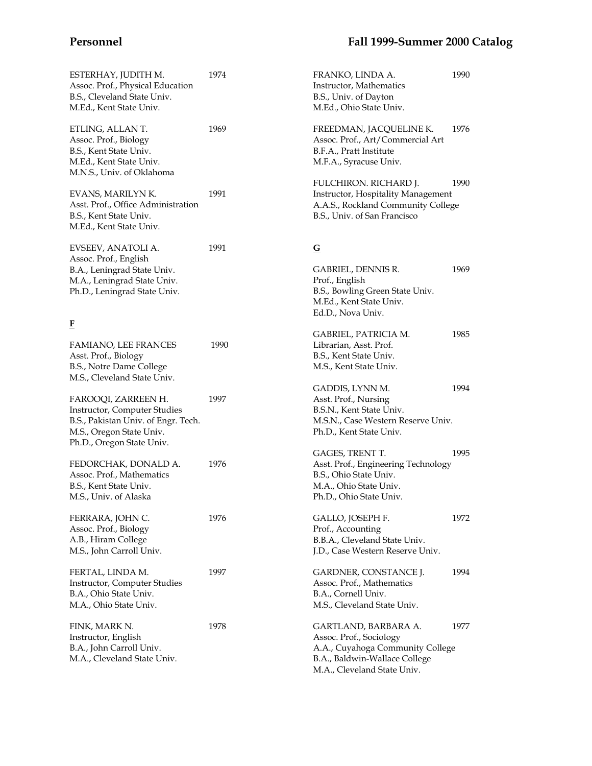Assoc. Prof., Physical Education B.S., Cleveland State Univ. M.Ed., Kent State Univ. ETLING, ALLAN T. 1969 Assoc. Prof., Biology B.S., Kent State Univ. M.Ed., Kent State Univ. M.N.S., Univ. of Oklahoma EVANS, MARILYN K. 1991 Asst. Prof., Office Administration B.S., Kent State Univ. M.Ed., Kent State Univ. EVSEEV, ANATOLI A. 1991 Assoc. Prof., English B.A., Leningrad State Univ. M.A., Leningrad State Univ. Ph.D., Leningrad State Univ. **F** FAMIANO, LEE FRANCES 1990 Asst. Prof., Biology B.S., Notre Dame College M.S., Cleveland State Univ. FAROOQI, ZARREEN H. 1997 Instructor, Computer Studies B.S., Pakistan Univ. of Engr. Tech. M.S., Oregon State Univ. Ph.D., Oregon State Univ. FEDORCHAK, DONALD A. 1976 Assoc. Prof., Mathematics B.S., Kent State Univ. M.S., Univ. of Alaska FERRARA, JOHN C. 1976 Assoc. Prof., Biology A.B., Hiram College M.S., John Carroll Univ. FERTAL, LINDA M. 1997 Instructor, Computer Studies B.A., Ohio State Univ. M.A., Ohio State Univ. FINK, MARK N. 1978 Instructor, English B.A., John Carroll Univ. M.A., Cleveland State Univ.

# **Personnel Fall 1999-Summer 2000 Catalog**

| FRANKO, LINDA A.<br>Instructor, Mathematics<br>B.S., Univ. of Dayton<br>M.Ed., Ohio State Univ.                                                     | 1990 |
|-----------------------------------------------------------------------------------------------------------------------------------------------------|------|
| FREEDMAN, JACQUELINE K.<br>Assoc. Prof., Art/Commercial Art<br>B.F.A., Pratt Institute<br>M.F.A., Syracuse Univ.                                    | 1976 |
| FULCHIRON. RICHARD J.<br>Instructor, Hospitality Management<br>A.A.S., Rockland Community College<br>B.S., Univ. of San Francisco                   | 1990 |
| G                                                                                                                                                   |      |
| GABRIEL, DENNIS R.<br>Prof., English<br>B.S., Bowling Green State Univ.<br>M.Ed., Kent State Univ.<br>Ed.D., Nova Univ.                             | 1969 |
| GABRIEL, PATRICIA M.<br>Librarian, Asst. Prof.<br>B.S., Kent State Univ.<br>M.S., Kent State Univ.                                                  | 1985 |
| GADDIS, LYNN M.<br>Asst. Prof., Nursing<br>B.S.N., Kent State Univ.<br>M.S.N., Case Western Reserve Univ.<br>Ph.D., Kent State Univ.                | 1994 |
| GAGES, TRENT T.<br>Asst. Prof., Engineering Technology<br>B.S., Ohio State Univ.<br>M.A., Ohio State Univ.<br>Ph.D., Ohio State Univ.               | 1995 |
| GALLO, JOSEPH F.<br>Prof., Accounting<br>B.B.A., Cleveland State Univ.<br>J.D., Case Western Reserve Univ.                                          | 1972 |
| GARDNER, CONSTANCE J.<br>Assoc. Prof., Mathematics<br>B.A., Cornell Univ.<br>M.S., Cleveland State Univ.                                            | 1994 |
| GARTLAND, BARBARA A.<br>Assoc. Prof., Sociology<br>A.A., Cuyahoga Community College<br>B.A., Baldwin-Wallace College<br>M.A., Cleveland State Univ. | 1977 |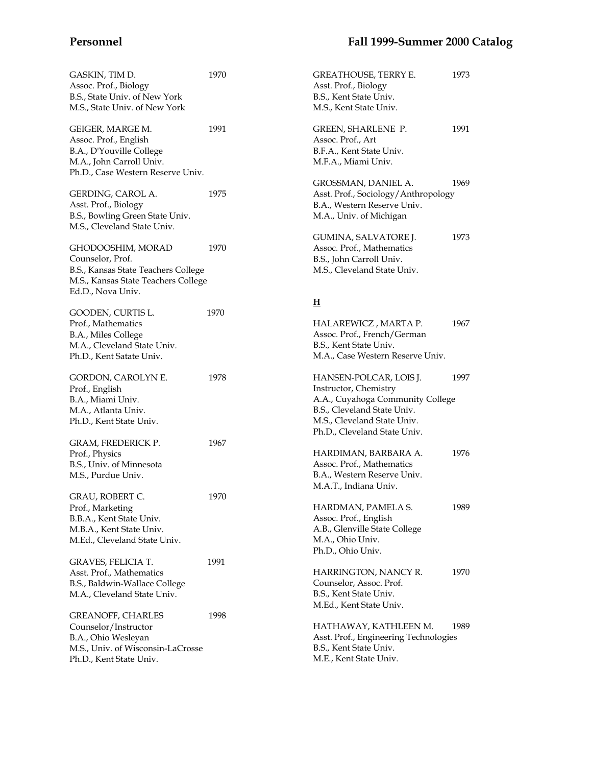| GASKIN, TIM D.<br>Assoc. Prof., Biology<br>B.S., State Univ. of New York<br>M.S., State Univ. of New York                                | 1970 | GREATHOUSE, TERRY E.<br>Asst. Prof., Biology<br>B.S., Kent State Univ.<br>M.S., Kent State Univ.                                                                                  | 1973 |
|------------------------------------------------------------------------------------------------------------------------------------------|------|-----------------------------------------------------------------------------------------------------------------------------------------------------------------------------------|------|
| GEIGER, MARGE M.<br>Assoc. Prof., English<br>B.A., D'Youville College<br>M.A., John Carroll Univ.<br>Ph.D., Case Western Reserve Univ.   | 1991 | GREEN, SHARLENE P.<br>Assoc. Prof., Art<br>B.F.A., Kent State Univ.<br>M.F.A., Miami Univ.                                                                                        | 1991 |
| GERDING, CAROL A.<br>Asst. Prof., Biology<br>B.S., Bowling Green State Univ.<br>M.S., Cleveland State Univ.                              | 1975 | GROSSMAN, DANIEL A.<br>Asst. Prof., Sociology/Anthropology<br>B.A., Western Reserve Univ.<br>M.A., Univ. of Michigan                                                              | 1969 |
| GHODOOSHIM, MORAD<br>Counselor, Prof.<br>B.S., Kansas State Teachers College<br>M.S., Kansas State Teachers College<br>Ed.D., Nova Univ. | 1970 | GUMINA, SALVATORE J.<br>Assoc. Prof., Mathematics<br>B.S., John Carroll Univ.<br>M.S., Cleveland State Univ.                                                                      | 1973 |
|                                                                                                                                          | 1970 | H                                                                                                                                                                                 |      |
| GOODEN, CURTIS L.<br>Prof., Mathematics<br>B.A., Miles College<br>M.A., Cleveland State Univ.<br>Ph.D., Kent Satate Univ.                |      | HALAREWICZ, MARTA P.<br>Assoc. Prof., French/German<br>B.S., Kent State Univ.<br>M.A., Case Western Reserve Univ.                                                                 | 1967 |
| GORDON, CAROLYN E.<br>Prof., English<br>B.A., Miami Univ.<br>M.A., Atlanta Univ.<br>Ph.D., Kent State Univ.                              | 1978 | HANSEN-POLCAR, LOIS J.<br>Instructor, Chemistry<br>A.A., Cuyahoga Community College<br>B.S., Cleveland State Univ.<br>M.S., Cleveland State Univ.<br>Ph.D., Cleveland State Univ. | 1997 |
| GRAM, FREDERICK P.<br>Prof., Physics                                                                                                     | 1967 | HARDIMAN, BARBARA A.                                                                                                                                                              | 1976 |
| B.S., Univ. of Minnesota<br>M.S., Purdue Univ.                                                                                           |      | Assoc. Prof., Mathematics<br>B.A., Western Reserve Univ.<br>M.A.T., Indiana Univ.                                                                                                 |      |
| GRAU, ROBERT C.<br>Prof., Marketing<br>B.B.A., Kent State Univ.<br>M.B.A., Kent State Univ.<br>M.Ed., Cleveland State Univ.              | 1970 | HARDMAN, PAMELA S.<br>Assoc. Prof., English<br>A.B., Glenville State College<br>M.A., Ohio Univ.<br>Ph.D., Ohio Univ.                                                             | 1989 |
| <b>GRAVES, FELICIA T.</b><br>Asst. Prof., Mathematics<br>B.S., Baldwin-Wallace College<br>M.A., Cleveland State Univ.                    | 1991 | HARRINGTON, NANCY R.<br>Counselor, Assoc. Prof.<br>B.S., Kent State Univ.<br>M.Ed., Kent State Univ.                                                                              | 1970 |
| <b>GREANOFF, CHARLES</b><br>Counselor/Instructor<br>B.A., Ohio Wesleyan<br>M.S., Univ. of Wisconsin-LaCrosse<br>Ph.D., Kent State Univ.  | 1998 | HATHAWAY, KATHLEEN M.<br>Asst. Prof., Engineering Technologies<br>B.S., Kent State Univ.<br>M.E., Kent State Univ.                                                                | 1989 |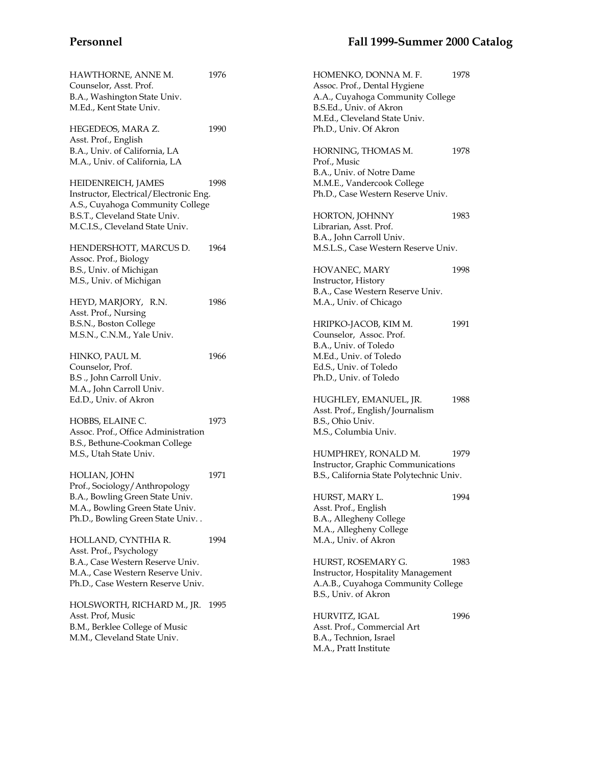| HAWTHORNE, ANNE M.<br>Counselor, Asst. Prof.<br>B.A., Washington State Univ.<br>M.Ed., Kent State Univ. | 1976 | HOMENKO, DONNA M. F.<br>Assoc. Prof., Dental Hygiene<br>A.A., Cuyahoga Community College<br>B.S.Ed., Univ. of Akron<br>M.Ed., Cleveland State Univ. | 1978 |
|---------------------------------------------------------------------------------------------------------|------|-----------------------------------------------------------------------------------------------------------------------------------------------------|------|
| HEGEDEOS, MARA Z.<br>Asst. Prof., English                                                               | 1990 | Ph.D., Univ. Of Akron                                                                                                                               |      |
| B.A., Univ. of California, LA<br>M.A., Univ. of California, LA                                          |      | HORNING, THOMAS M.<br>Prof., Music<br>B.A., Univ. of Notre Dame                                                                                     | 1978 |
| HEIDENREICH, JAMES<br>Instructor, Electrical/Electronic Eng.                                            | 1998 | M.M.E., Vandercook College<br>Ph.D., Case Western Reserve Univ.                                                                                     |      |
| A.S., Cuyahoga Community College                                                                        |      |                                                                                                                                                     |      |
| B.S.T., Cleveland State Univ.                                                                           |      | HORTON, JOHNNY                                                                                                                                      | 1983 |
| M.C.I.S., Cleveland State Univ.                                                                         |      | Librarian, Asst. Prof.                                                                                                                              |      |
|                                                                                                         |      | B.A., John Carroll Univ.                                                                                                                            |      |
| HENDERSHOTT, MARCUS D.<br>Assoc. Prof., Biology                                                         | 1964 | M.S.L.S., Case Western Reserve Univ.                                                                                                                |      |
| B.S., Univ. of Michigan                                                                                 |      | HOVANEC, MARY                                                                                                                                       | 1998 |
| M.S., Univ. of Michigan                                                                                 |      | Instructor, History                                                                                                                                 |      |
|                                                                                                         |      | B.A., Case Western Reserve Univ.                                                                                                                    |      |
| HEYD, MARJORY, R.N.                                                                                     | 1986 | M.A., Univ. of Chicago                                                                                                                              |      |
| Asst. Prof., Nursing                                                                                    |      |                                                                                                                                                     |      |
| B.S.N., Boston College                                                                                  |      | HRIPKO-JACOB, KIM M.                                                                                                                                | 1991 |
| M.S.N., C.N.M., Yale Univ.                                                                              |      | Counselor, Assoc. Prof.                                                                                                                             |      |
|                                                                                                         |      | B.A., Univ. of Toledo                                                                                                                               |      |
| HINKO, PAUL M.                                                                                          | 1966 | M.Ed., Univ. of Toledo                                                                                                                              |      |
| Counselor, Prof.                                                                                        |      | Ed.S., Univ. of Toledo                                                                                                                              |      |
| B.S., John Carroll Univ.                                                                                |      | Ph.D., Univ. of Toledo                                                                                                                              |      |
| M.A., John Carroll Univ.                                                                                |      |                                                                                                                                                     |      |
| Ed.D., Univ. of Akron                                                                                   |      | HUGHLEY, EMANUEL, JR.<br>Asst. Prof., English/Journalism                                                                                            | 1988 |
| HOBBS, ELAINE C.                                                                                        | 1973 | B.S., Ohio Univ.                                                                                                                                    |      |
| Assoc. Prof., Office Administration                                                                     |      | M.S., Columbia Univ.                                                                                                                                |      |
| B.S., Bethune-Cookman College                                                                           |      |                                                                                                                                                     |      |
| M.S., Utah State Univ.                                                                                  |      | HUMPHREY, RONALD M.                                                                                                                                 | 1979 |
|                                                                                                         |      | Instructor, Graphic Communications                                                                                                                  |      |
| HOLIAN, JOHN                                                                                            | 1971 | B.S., California State Polytechnic Univ.                                                                                                            |      |
| Prof., Sociology/Anthropology                                                                           |      |                                                                                                                                                     |      |
| B.A., Bowling Green State Univ.                                                                         |      | HURST, MARY L.                                                                                                                                      | 1994 |
| M.A., Bowling Green State Univ.                                                                         |      | Asst. Prof., English                                                                                                                                |      |
| Ph.D., Bowling Green State Univ                                                                         |      | B.A., Allegheny College                                                                                                                             |      |
|                                                                                                         |      | M.A., Allegheny College                                                                                                                             |      |
| HOLLAND, CYNTHIA R.                                                                                     | 1994 | M.A., Univ. of Akron                                                                                                                                |      |
| Asst. Prof., Psychology                                                                                 |      |                                                                                                                                                     |      |
| B.A., Case Western Reserve Univ.                                                                        |      | HURST, ROSEMARY G.                                                                                                                                  | 1983 |
| M.A., Case Western Reserve Univ.                                                                        |      | Instructor, Hospitality Management                                                                                                                  |      |
| Ph.D., Case Western Reserve Univ.                                                                       |      | A.A.B., Cuyahoga Community College                                                                                                                  |      |
|                                                                                                         |      | B.S., Univ. of Akron                                                                                                                                |      |
| HOLSWORTH, RICHARD M., JR. 1995                                                                         |      |                                                                                                                                                     |      |
| Asst. Prof, Music                                                                                       |      | HURVITZ, IGAL                                                                                                                                       | 1996 |
| B.M., Berklee College of Music                                                                          |      | Asst. Prof., Commercial Art                                                                                                                         |      |
| M.M., Cleveland State Univ.                                                                             |      | B.A., Technion, Israel                                                                                                                              |      |
|                                                                                                         |      | M.A., Pratt Institute                                                                                                                               |      |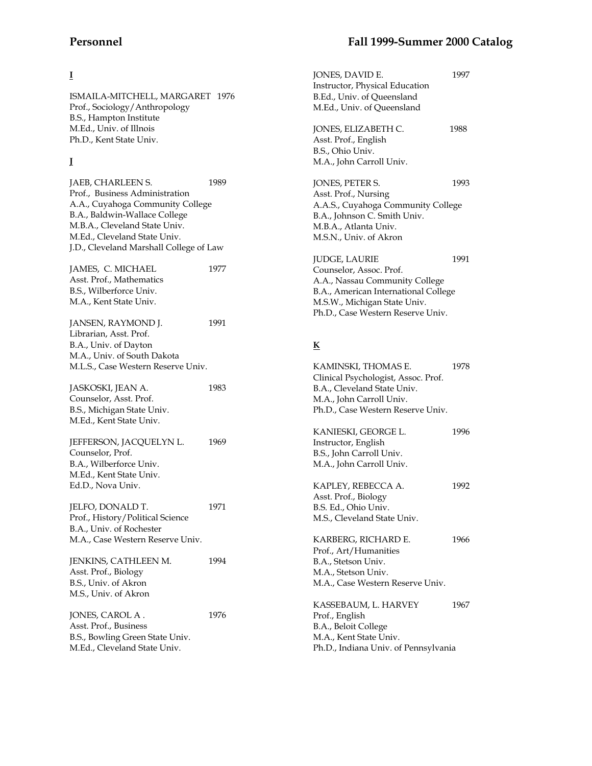# **I**

ISMAILA-MITCHELL, MARGARET 1976 Prof., Sociology/Anthropology B.S., Hampton Institute M.Ed., Univ. of Illnois Ph.D., Kent State Univ.

# **J**

JAEB, CHARLEEN S. 1989 Prof., Business Administration A.A., Cuyahoga Community College B.A., Baldwin-Wallace College M.B.A., Cleveland State Univ. M.Ed., Cleveland State Univ. J.D., Cleveland Marshall College of Law

JAMES, C. MICHAEL 1977 Asst. Prof., Mathematics B.S., Wilberforce Univ. M.A., Kent State Univ.

JANSEN, RAYMOND J. 1991 Librarian, Asst. Prof. B.A., Univ. of Dayton M.A., Univ. of South Dakota M.L.S., Case Western Reserve Univ.

JASKOSKI, JEAN A. 1983 Counselor, Asst. Prof. B.S., Michigan State Univ. M.Ed., Kent State Univ.

JEFFERSON, JACQUELYN L. 1969 Counselor, Prof. B.A., Wilberforce Univ. M.Ed., Kent State Univ. Ed.D., Nova Univ.

JELFO, DONALD T. 1971 Prof., History/Political Science B.A., Univ. of Rochester M.A., Case Western Reserve Univ.

JENKINS, CATHLEEN M. 1994 Asst. Prof., Biology B.S., Univ. of Akron M.S., Univ. of Akron

JONES, CAROL A . 1976 Asst. Prof., Business B.S., Bowling Green State Univ. M.Ed., Cleveland State Univ.

| JONES, DAVID E.<br>Instructor, Physical Education<br>B.Ed., Univ. of Queensland<br>M.Ed., Univ. of Queensland                                                                                  | 1997 |
|------------------------------------------------------------------------------------------------------------------------------------------------------------------------------------------------|------|
| JONES, ELIZABETH C.<br>Asst. Prof., English<br>B.S., Ohio Univ.<br>M.A., John Carroll Univ.                                                                                                    | 1988 |
| JONES, PETER S.<br>Asst. Prof., Nursing<br>A.A.S., Cuyahoga Community College<br>B.A., Johnson C. Smith Univ.<br>M.B.A., Atlanta Univ.<br>M.S.N., Univ. of Akron                               | 1993 |
| <b>JUDGE, LAURIE</b><br>Counselor, Assoc. Prof.<br>A.A., Nassau Community College<br>B.A., American International College<br>M.S.W., Michigan State Univ.<br>Ph.D., Case Western Reserve Univ. | 1991 |
| $\underline{\mathbf{K}}$                                                                                                                                                                       |      |
| KAMINSKI, THOMAS E.<br>Clinical Psychologist, Assoc. Prof.<br>B.A., Cleveland State Univ.<br>M.A., John Carroll Univ.<br>Ph.D., Case Western Reserve Univ.                                     | 1978 |
| KANIESKI, GEORGE L.<br>Instructor, English<br>B.S., John Carroll Univ.<br>M.A., John Carroll Univ.                                                                                             | 1996 |
| KAPLEY, REBECCA A.<br>Asst. Prof., Biology<br>B.S. Ed., Ohio Univ.<br>M.S., Cleveland State Univ.                                                                                              | 1992 |

KARBERG, RICHARD E. 1966 Prof., Art/Humanities B.A., Stetson Univ. M.A., Stetson Univ. M.A., Case Western Reserve Univ.

KASSEBAUM, L. HARVEY 1967 Prof., English B.A., Beloit College M.A., Kent State Univ. Ph.D., Indiana Univ. of Pennsylvania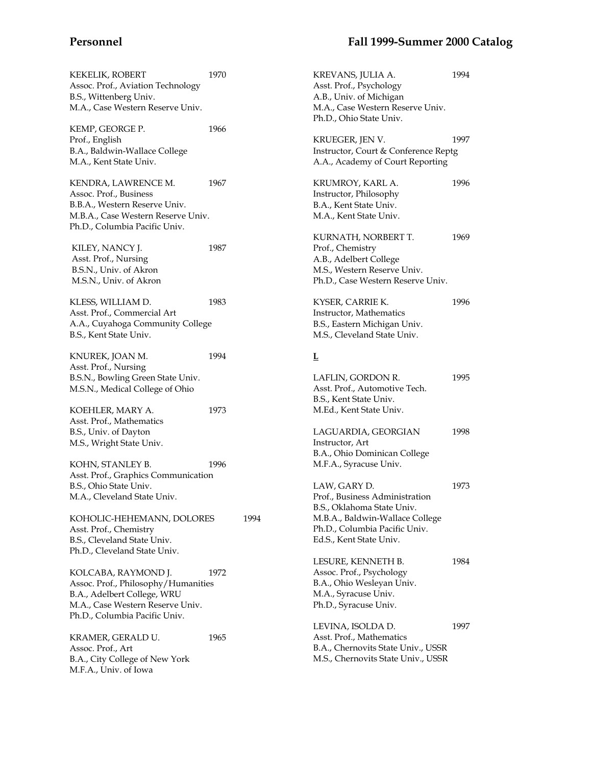| <b>KEKELIK, ROBERT</b><br>Assoc. Prof., Aviation Technology<br>B.S., Wittenberg Univ.<br>M.A., Case Western Reserve Univ.                                      | 1970 |      | KREVANS, JULIA A.<br>Asst. Prof., Psychology<br>A.B., Univ. of Michigan<br>M.A., Case Western Reserve Univ.<br>Ph.D., Ohio State Univ. | 1994 |
|----------------------------------------------------------------------------------------------------------------------------------------------------------------|------|------|----------------------------------------------------------------------------------------------------------------------------------------|------|
| KEMP, GEORGE P.<br>Prof., English<br>B.A., Baldwin-Wallace College<br>M.A., Kent State Univ.                                                                   | 1966 |      | KRUEGER, JEN V.<br>Instructor, Court & Conference Reptg<br>A.A., Academy of Court Reporting                                            | 1997 |
| KENDRA, LAWRENCE M.<br>Assoc. Prof., Business<br>B.B.A., Western Reserve Univ.<br>M.B.A., Case Western Reserve Univ.<br>Ph.D., Columbia Pacific Univ.          | 1967 |      | KRUMROY, KARL A.<br>Instructor, Philosophy<br>B.A., Kent State Univ.<br>M.A., Kent State Univ.                                         | 1996 |
| KILEY, NANCY J.<br>Asst. Prof., Nursing<br>B.S.N., Univ. of Akron<br>M.S.N., Univ. of Akron                                                                    | 1987 |      | KURNATH, NORBERT T.<br>Prof., Chemistry<br>A.B., Adelbert College<br>M.S., Western Reserve Univ.<br>Ph.D., Case Western Reserve Univ.  | 1969 |
| KLESS, WILLIAM D.<br>Asst. Prof., Commercial Art<br>A.A., Cuyahoga Community College<br>B.S., Kent State Univ.                                                 | 1983 |      | KYSER, CARRIE K.<br>Instructor, Mathematics<br>B.S., Eastern Michigan Univ.<br>M.S., Cleveland State Univ.                             | 1996 |
| KNUREK, JOAN M.<br>Asst. Prof., Nursing                                                                                                                        | 1994 |      | $\overline{\Gamma}$                                                                                                                    |      |
| B.S.N., Bowling Green State Univ.<br>M.S.N., Medical College of Ohio                                                                                           |      |      | LAFLIN, GORDON R.<br>Asst. Prof., Automotive Tech.<br>B.S., Kent State Univ.                                                           | 1995 |
| KOEHLER, MARY A.<br>Asst. Prof., Mathematics<br>B.S., Univ. of Dayton<br>M.S., Wright State Univ.                                                              | 1973 |      | M.Ed., Kent State Univ.<br>LAGUARDIA, GEORGIAN<br>Instructor, Art                                                                      | 1998 |
| KOHN, STANLEY B.<br>Asst. Prof., Graphics Communication                                                                                                        | 1996 |      | B.A., Ohio Dominican College<br>M.F.A., Syracuse Univ.                                                                                 |      |
| B.S., Ohio State Univ.<br>M.A., Cleveland State Univ.<br>KOHOLIC-HEHEMANN, DOLORES                                                                             |      | 1994 | LAW, GARY D.<br>Prof., Business Administration<br>B.S., Oklahoma State Univ.<br>M.B.A., Baldwin-Wallace College                        | 1973 |
| Asst. Prof., Chemistry<br>B.S., Cleveland State Univ.<br>Ph.D., Cleveland State Univ.                                                                          |      |      | Ph.D., Columbia Pacific Univ.<br>Ed.S., Kent State Univ.                                                                               |      |
| KOLCABA, RAYMOND J.<br>Assoc. Prof., Philosophy/Humanities<br>B.A., Adelbert College, WRU<br>M.A., Case Western Reserve Univ.<br>Ph.D., Columbia Pacific Univ. | 1972 |      | LESURE, KENNETH B.<br>Assoc. Prof., Psychology<br>B.A., Ohio Wesleyan Univ.<br>M.A., Syracuse Univ.<br>Ph.D., Syracuse Univ.           | 1984 |
| KRAMER, GERALD U.<br>Assoc. Prof., Art<br>B.A., City College of New York<br>M.F.A., Univ. of Iowa                                                              | 1965 |      | LEVINA, ISOLDA D.<br>Asst. Prof., Mathematics<br>B.A., Chernovits State Univ., USSR<br>M.S., Chernovits State Univ., USSR              | 1997 |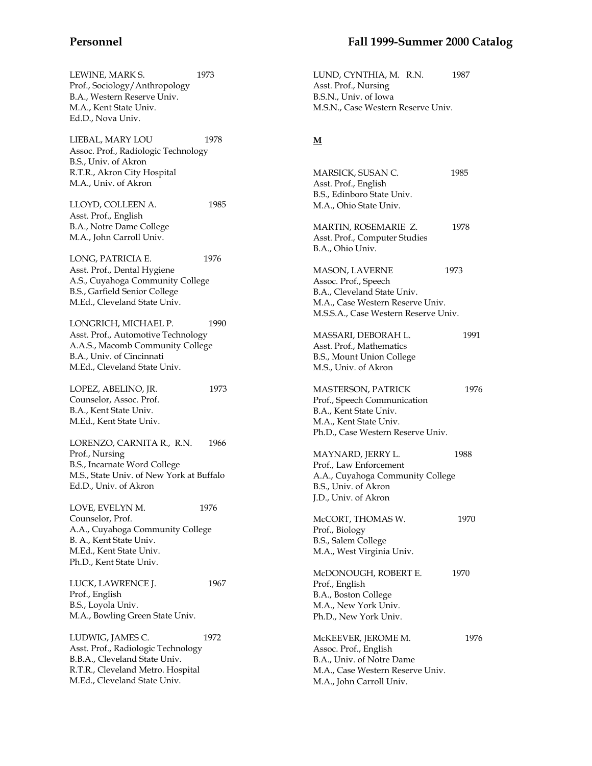LEWINE, MARK S. 1973 Prof., Sociology/Anthropology B.A., Western Reserve Univ. M.A., Kent State Univ. Ed.D., Nova Univ.

LIEBAL, MARY LOU 1978 Assoc. Prof., Radiologic Technology B.S., Univ. of Akron R.T.R., Akron City Hospital M.A., Univ. of Akron

LLOYD, COLLEEN A. 1985 Asst. Prof., English B.A., Notre Dame College M.A., John Carroll Univ.

LONG, PATRICIA E. 1976 Asst. Prof., Dental Hygiene A.S., Cuyahoga Community College B.S., Garfield Senior College M.Ed., Cleveland State Univ.

LONGRICH, MICHAEL P. 1990 Asst. Prof., Automotive Technology A.A.S., Macomb Community College B.A., Univ. of Cincinnati M.Ed., Cleveland State Univ.

LOPEZ, ABELINO, JR. 1973 Counselor, Assoc. Prof. B.A., Kent State Univ. M.Ed., Kent State Univ.

LORENZO, CARNITA R., R.N. 1966 Prof., Nursing B.S., Incarnate Word College M.S., State Univ. of New York at Buffalo Ed.D., Univ. of Akron

LOVE, EVELYN M. 1976 Counselor, Prof. A.A., Cuyahoga Community College B. A., Kent State Univ. M.Ed., Kent State Univ. Ph.D., Kent State Univ.

LUCK, LAWRENCE J. 1967 Prof., English B.S., Loyola Univ. M.A., Bowling Green State Univ.

LUDWIG, JAMES C. 1972 Asst. Prof., Radiologic Technology B.B.A., Cleveland State Univ. R.T.R., Cleveland Metro. Hospital M.Ed., Cleveland State Univ.

LUND, CYNTHIA, M. R.N. 1987 Asst. Prof., Nursing B.S.N., Univ. of Iowa M.S.N., Case Western Reserve Univ.

### **M**

| MARSICK, SUSAN C.<br>Asst. Prof., English<br>B.S., Edinboro State Univ.<br>M.A., Ohio State Univ.                                                 | 1985 |
|---------------------------------------------------------------------------------------------------------------------------------------------------|------|
| MARTIN, ROSEMARIE Z.<br>Asst. Prof., Computer Studies<br>B.A., Ohio Univ.                                                                         | 1978 |
| MASON, LAVERNE<br>Assoc. Prof., Speech<br>B.A., Cleveland State Univ.<br>M.A., Case Western Reserve Univ.<br>M.S.S.A., Case Western Reserve Univ. | 1973 |
| MASSARI, DEBORAH L.<br>Asst. Prof., Mathematics<br>B.S., Mount Union College<br>M.S., Univ. of Akron                                              | 1991 |
| MASTERSON, PATRICK<br>Prof., Speech Communication<br>B.A., Kent State Univ.<br>M.A., Kent State Univ.<br>Ph.D., Case Western Reserve Univ.        | 1976 |
| MAYNARD, JERRY L.<br>Prof., Law Enforcement<br>A.A., Cuyahoga Community College<br>B.S., Univ. of Akron<br>J.D., Univ. of Akron                   | 1988 |
| McCORT, THOMAS W.<br>Prof., Biology<br>B.S., Salem College<br>M.A., West Virginia Univ.                                                           | 1970 |
| McDONOUGH, ROBERT E.<br>Prof., English<br>B.A., Boston College<br>M.A., New York Univ.<br>Ph.D., New York Univ.                                   | 1970 |
| McKEEVER, JEROME M.<br>Assoc. Prof., English<br>B.A., Univ. of Notre Dame<br>M.A., Case Western Reserve Univ.<br>M.A., John Carroll Univ.         | 1976 |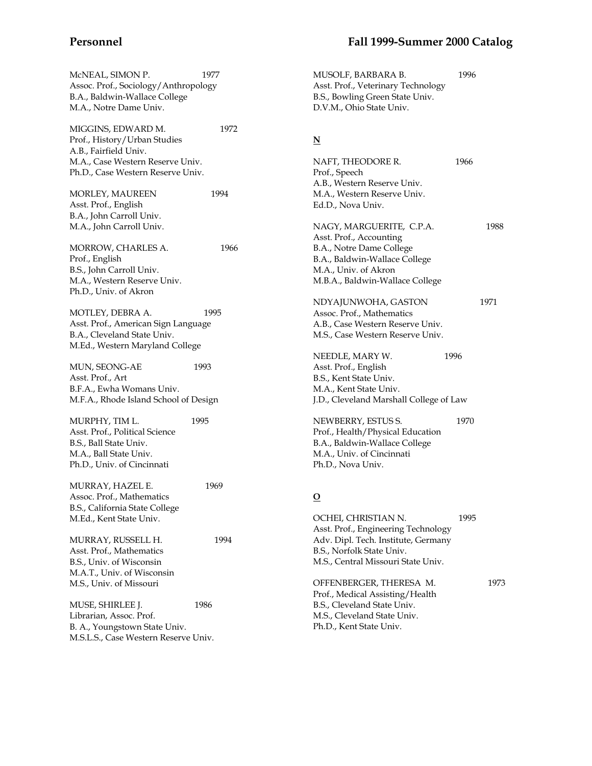| McNEAL, SIMON P.<br>Assoc. Prof., Sociology/Anthropology<br>B.A., Baldwin-Wallace College<br>M.A., Notre Dame Univ.                | 1977 | MUSOLF, BARBARA B.<br>Asst. Prof., Veterinary Technology<br>B.S., Bowling Green State Univ.<br>D.V.M., Ohio State Univ.                                              | 1996 |      |
|------------------------------------------------------------------------------------------------------------------------------------|------|----------------------------------------------------------------------------------------------------------------------------------------------------------------------|------|------|
| MIGGINS, EDWARD M.<br>Prof., History/Urban Studies<br>A.B., Fairfield Univ.                                                        | 1972 | $\underline{\mathbf{N}}$                                                                                                                                             |      |      |
| M.A., Case Western Reserve Univ.<br>Ph.D., Case Western Reserve Univ.                                                              |      | NAFT, THEODORE R.<br>Prof., Speech<br>A.B., Western Reserve Univ.                                                                                                    | 1966 |      |
| MORLEY, MAUREEN<br>Asst. Prof., English<br>B.A., John Carroll Univ.                                                                | 1994 | M.A., Western Reserve Univ.<br>Ed.D., Nova Univ.                                                                                                                     |      |      |
| M.A., John Carroll Univ.<br>MORROW, CHARLES A.                                                                                     | 1966 | NAGY, MARGUERITE, C.P.A.<br>Asst. Prof., Accounting<br>B.A., Notre Dame College                                                                                      |      | 1988 |
| Prof., English<br>B.S., John Carroll Univ.<br>M.A., Western Reserve Univ.                                                          |      | B.A., Baldwin-Wallace College<br>M.A., Univ. of Akron<br>M.B.A., Baldwin-Wallace College                                                                             |      |      |
| Ph.D., Univ. of Akron                                                                                                              |      | NDYAJUNWOHA, GASTON                                                                                                                                                  |      | 1971 |
| MOTLEY, DEBRA A.<br>Asst. Prof., American Sign Language<br>B.A., Cleveland State Univ.<br>M.Ed., Western Maryland College          | 1995 | Assoc. Prof., Mathematics<br>A.B., Case Western Reserve Univ.<br>M.S., Case Western Reserve Univ.                                                                    |      |      |
| MUN, SEONG-AE<br>Asst. Prof., Art                                                                                                  | 1993 | NEEDLE, MARY W.<br>Asst. Prof., English<br>B.S., Kent State Univ.                                                                                                    | 1996 |      |
| B.F.A., Ewha Womans Univ.<br>M.F.A., Rhode Island School of Design                                                                 |      | M.A., Kent State Univ.<br>J.D., Cleveland Marshall College of Law                                                                                                    |      |      |
| MURPHY, TIM L.<br>Asst. Prof., Political Science<br>B.S., Ball State Univ.<br>M.A., Ball State Univ.<br>Ph.D., Univ. of Cincinnati | 1995 | NEWBERRY, ESTUS S.<br>Prof., Health/Physical Education<br>B.A., Baldwin-Wallace College<br>M.A., Univ. of Cincinnati<br>Ph.D., Nova Univ.                            | 1970 |      |
| MURRAY, HAZEL E.<br>Assoc. Prof., Mathematics<br>B.S., California State College                                                    | 1969 | $\overline{O}$                                                                                                                                                       |      |      |
| M.Ed., Kent State Univ.<br>MURRAY, RUSSELL H.<br>Asst. Prof., Mathematics<br>B.S., Univ. of Wisconsin                              | 1994 | OCHEI, CHRISTIAN N.<br>Asst. Prof., Engineering Technology<br>Adv. Dipl. Tech. Institute, Germany<br>B.S., Norfolk State Univ.<br>M.S., Central Missouri State Univ. | 1995 |      |
| M.A.T., Univ. of Wisconsin<br>M.S., Univ. of Missouri                                                                              |      | OFFENBERGER, THERESA M.<br>Prof., Medical Assisting/Health                                                                                                           |      | 1973 |
| MUSE, SHIRLEE J.<br>Librarian, Assoc. Prof.<br>B. A., Youngstown State Univ.<br>M.S.L.S., Case Western Reserve Univ.               | 1986 | B.S., Cleveland State Univ.<br>M.S., Cleveland State Univ.<br>Ph.D., Kent State Univ.                                                                                |      |      |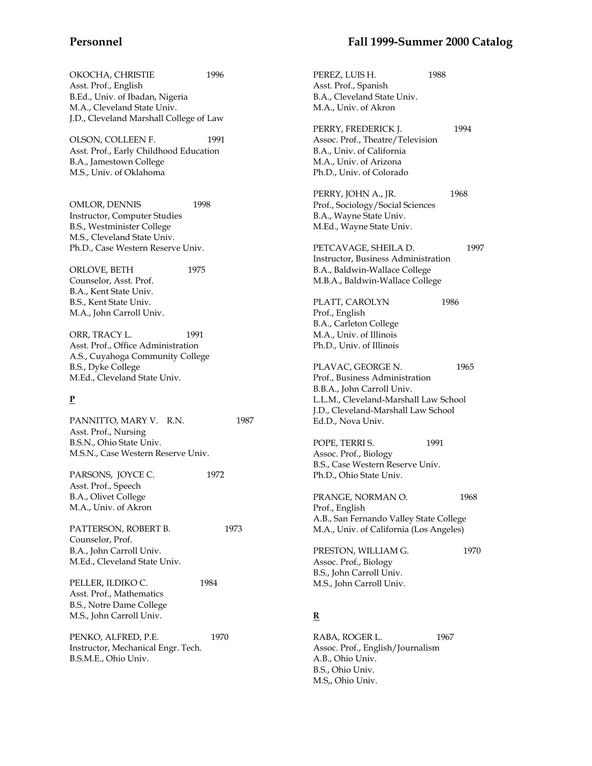OKOCHA, CHRISTIE 1996 Asst. Prof., English B.Ed., Univ. of Ibadan, Nigeria M.A., Cleveland State Univ. J.D., Cleveland Marshall College of Law

OLSON, COLLEEN F. 1991 Asst. Prof., Early Childhood Education B.A., Jamestown College M.S., Univ. of Oklahoma

OMLOR, DENNIS 1998 Instructor, Computer Studies B.S., Westminister College M.S., Cleveland State Univ. Ph.D., Case Western Reserve Univ.

ORLOVE, BETH 1975 Counselor, Asst. Prof. B.A., Kent State Univ. B.S., Kent State Univ. M.A., John Carroll Univ.

ORR, TRACY L. 1991 Asst. Prof., Office Administration A.S., Cuyahoga Community College B.S., Dyke College M.Ed., Cleveland State Univ.

## **P**

PANNITTO, MARY V. R.N. 1987 Asst. Prof., Nursing B.S.N., Ohio State Univ. M.S.N., Case Western Reserve Univ.

PARSONS, JOYCE C. 1972 Asst. Prof., Speech B.A., Olivet College M.A., Univ. of Akron

PATTERSON, ROBERT B. 1973 Counselor, Prof. B.A., John Carroll Univ. M.Ed., Cleveland State Univ.

PELLER, ILDIKO C. 1984 Asst. Prof., Mathematics B.S., Notre Dame College M.S., John Carroll Univ.

PENKO, ALFRED, P.E. 1970 Instructor, Mechanical Engr. Tech. B.S.M.E., Ohio Univ.

## **Personnel Fall 1999-Summer 2000 Catalog**

PEREZ, LUIS H. 1988 Asst. Prof., Spanish B.A., Cleveland State Univ. M.A., Univ. of Akron PERRY, FREDERICK J. 1994 Assoc. Prof., Theatre/Television B.A., Univ. of California M.A., Univ. of Arizona Ph.D., Univ. of Colorado PERRY, JOHN A., JR. 1968 Prof., Sociology/Social Sciences B.A., Wayne State Univ. M.Ed., Wayne State Univ. PETCAVAGE, SHEILA D. 1997 Instructor, Business Administration B.A., Baldwin-Wallace College M.B.A., Baldwin-Wallace College PLATT, CAROLYN 1986 Prof., English B.A., Carleton College M.A., Univ. of Illinois Ph.D., Univ. of Illinois PLAVAC, GEORGE N. 1965 Prof., Business Administration B.B.A., John Carroll Univ. L.L.M., Cleveland-Marshall Law School J.D., Cleveland-Marshall Law School Ed.D., Nova Univ. POPE, TERRI S. 1991 Assoc. Prof., Biology B.S., Case Western Reserve Univ. Ph.D., Ohio State Univ. PRANGE, NORMAN O. 1968 Prof., English A.B., San Fernando Valley State College M.A., Univ. of California (Los Angeles) PRESTON, WILLIAM G.  $1970$ Assoc. Prof., Biology B.S., John Carroll Univ. M.S., John Carroll Univ. **R** RABA, ROGER L. 1967

Assoc. Prof., English/Journalism A.B., Ohio Univ. B.S., Ohio Univ. M.S,, Ohio Univ.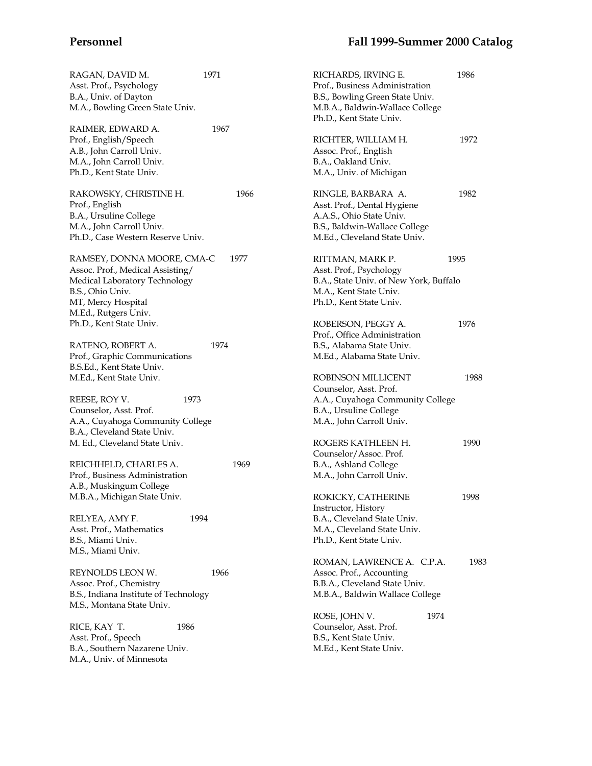| RAGAN, DAVID M.<br>Asst. Prof., Psychology<br>B.A., Univ. of Dayton<br>M.A., Bowling Green State Univ. | 1971 |      | RICHARDS, IRVING E.<br>Prof., Business Administration<br>B.S., Bowling Green State Univ.<br>M.B.A., Baldwin-Wallace College<br>Ph.D., Kent State Univ. | 1986 |
|--------------------------------------------------------------------------------------------------------|------|------|--------------------------------------------------------------------------------------------------------------------------------------------------------|------|
| RAIMER, EDWARD A.                                                                                      | 1967 |      |                                                                                                                                                        |      |
| Prof., English/Speech                                                                                  |      |      | RICHTER, WILLIAM H.                                                                                                                                    | 1972 |
| A.B., John Carroll Univ.                                                                               |      |      | Assoc. Prof., English                                                                                                                                  |      |
| M.A., John Carroll Univ.                                                                               |      |      | B.A., Oakland Univ.                                                                                                                                    |      |
| Ph.D., Kent State Univ.                                                                                |      |      | M.A., Univ. of Michigan                                                                                                                                |      |
| RAKOWSKY, CHRISTINE H.                                                                                 |      | 1966 | RINGLE, BARBARA A.                                                                                                                                     | 1982 |
| Prof., English                                                                                         |      |      | Asst. Prof., Dental Hygiene                                                                                                                            |      |
| B.A., Ursuline College                                                                                 |      |      | A.A.S., Ohio State Univ.                                                                                                                               |      |
| M.A., John Carroll Univ.                                                                               |      |      | B.S., Baldwin-Wallace College                                                                                                                          |      |
| Ph.D., Case Western Reserve Univ.                                                                      |      |      | M.Ed., Cleveland State Univ.                                                                                                                           |      |
| RAMSEY, DONNA MOORE, CMA-C                                                                             |      | 1977 | RITTMAN, MARK P.                                                                                                                                       | 1995 |
| Assoc. Prof., Medical Assisting/                                                                       |      |      | Asst. Prof., Psychology                                                                                                                                |      |
| Medical Laboratory Technology                                                                          |      |      | B.A., State Univ. of New York, Buffalo                                                                                                                 |      |
| B.S., Ohio Univ.                                                                                       |      |      | M.A., Kent State Univ.                                                                                                                                 |      |
| MT, Mercy Hospital                                                                                     |      |      | Ph.D., Kent State Univ.                                                                                                                                |      |
| M.Ed., Rutgers Univ.                                                                                   |      |      |                                                                                                                                                        |      |
| Ph.D., Kent State Univ.                                                                                |      |      | ROBERSON, PEGGY A.                                                                                                                                     | 1976 |
|                                                                                                        |      |      | Prof., Office Administration                                                                                                                           |      |
| RATENO, ROBERT A.                                                                                      | 1974 |      | B.S., Alabama State Univ.                                                                                                                              |      |
| Prof., Graphic Communications                                                                          |      |      | M.Ed., Alabama State Univ.                                                                                                                             |      |
| B.S.Ed., Kent State Univ.                                                                              |      |      |                                                                                                                                                        |      |
| M.Ed., Kent State Univ.                                                                                |      |      | <b>ROBINSON MILLICENT</b><br>Counselor, Asst. Prof.                                                                                                    | 1988 |
| REESE, ROY V.<br>1973                                                                                  |      |      | A.A., Cuyahoga Community College                                                                                                                       |      |
| Counselor, Asst. Prof.                                                                                 |      |      | B.A., Ursuline College                                                                                                                                 |      |
| A.A., Cuyahoga Community College                                                                       |      |      | M.A., John Carroll Univ.                                                                                                                               |      |
| B.A., Cleveland State Univ.                                                                            |      |      |                                                                                                                                                        |      |
| M. Ed., Cleveland State Univ.                                                                          |      |      | ROGERS KATHLEEN H.                                                                                                                                     | 1990 |
|                                                                                                        |      |      | Counselor/Assoc. Prof.                                                                                                                                 |      |
| REICHHELD, CHARLES A.                                                                                  |      | 1969 | B.A., Ashland College                                                                                                                                  |      |
| Prof., Business Administration                                                                         |      |      | M.A., John Carroll Univ.                                                                                                                               |      |
| A.B., Muskingum College                                                                                |      |      |                                                                                                                                                        |      |
| M.B.A., Michigan State Univ.                                                                           |      |      | ROKICKY, CATHERINE                                                                                                                                     | 1998 |
|                                                                                                        |      |      | Instructor, History                                                                                                                                    |      |
| 1994<br>RELYEA, AMY F.                                                                                 |      |      | B.A., Cleveland State Univ.                                                                                                                            |      |
| Asst. Prof., Mathematics                                                                               |      |      | M.A., Cleveland State Univ.                                                                                                                            |      |
| B.S., Miami Univ.<br>M.S., Miami Univ.                                                                 |      |      | Ph.D., Kent State Univ.                                                                                                                                |      |
|                                                                                                        |      |      | ROMAN, LAWRENCE A. C.P.A.                                                                                                                              | 1983 |
| REYNOLDS LEON W.                                                                                       | 1966 |      | Assoc. Prof., Accounting                                                                                                                               |      |
| Assoc. Prof., Chemistry                                                                                |      |      | B.B.A., Cleveland State Univ.                                                                                                                          |      |
| B.S., Indiana Institute of Technology                                                                  |      |      | M.B.A., Baldwin Wallace College                                                                                                                        |      |
| M.S., Montana State Univ.                                                                              |      |      |                                                                                                                                                        |      |
|                                                                                                        |      |      | ROSE, JOHN V.<br>1974                                                                                                                                  |      |
| RICE, KAY T.<br>1986                                                                                   |      |      | Counselor, Asst. Prof.                                                                                                                                 |      |
| Asst. Prof., Speech                                                                                    |      |      | B.S., Kent State Univ.                                                                                                                                 |      |
| B.A., Southern Nazarene Univ.                                                                          |      |      | M.Ed., Kent State Univ.                                                                                                                                |      |
| M.A., Univ. of Minnesota                                                                               |      |      |                                                                                                                                                        |      |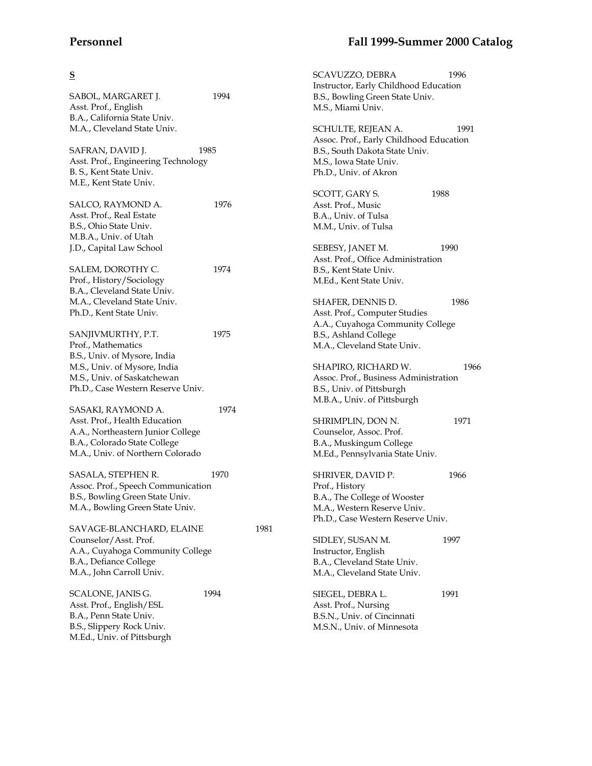# **S**

| SABOL, MARGARET J.<br>Asst. Prof., English<br>B.A., California State Univ. | 1994 |      | Instructor, Early Childhood Education<br>B.S., Bowling Green State Univ.<br>M.S., Miami Univ. |      |
|----------------------------------------------------------------------------|------|------|-----------------------------------------------------------------------------------------------|------|
| M.A., Cleveland State Univ.                                                |      |      |                                                                                               | 1991 |
|                                                                            |      |      | SCHULTE, REJEAN A.<br>Assoc. Prof., Early Childhood Education                                 |      |
|                                                                            |      |      |                                                                                               |      |
| SAFRAN, DAVID J.                                                           | 1985 |      | B.S., South Dakota State Univ.                                                                |      |
| Asst. Prof., Engineering Technology                                        |      |      | M.S., Iowa State Univ.                                                                        |      |
| B. S., Kent State Univ.                                                    |      |      | Ph.D., Univ. of Akron                                                                         |      |
| M.E., Kent State Univ.                                                     |      |      |                                                                                               |      |
|                                                                            |      |      | SCOTT, GARY S.                                                                                | 1988 |
| SALCO, RAYMOND A.                                                          | 1976 |      | Asst. Prof., Music                                                                            |      |
| Asst. Prof., Real Estate                                                   |      |      | B.A., Univ. of Tulsa                                                                          |      |
| B.S., Ohio State Univ.                                                     |      |      | M.M., Univ. of Tulsa                                                                          |      |
| M.B.A., Univ. of Utah                                                      |      |      |                                                                                               |      |
| J.D., Capital Law School                                                   |      |      | SEBESY, JANET M.                                                                              | 1990 |
|                                                                            |      |      | Asst. Prof., Office Administration                                                            |      |
| SALEM, DOROTHY C.                                                          | 1974 |      | B.S., Kent State Univ.                                                                        |      |
| Prof., History/Sociology                                                   |      |      | M.Ed., Kent State Univ.                                                                       |      |
| B.A., Cleveland State Univ.                                                |      |      |                                                                                               |      |
| M.A., Cleveland State Univ.                                                |      |      | SHAFER, DENNIS D.                                                                             | 1986 |
| Ph.D., Kent State Univ.                                                    |      |      | Asst. Prof., Computer Studies                                                                 |      |
|                                                                            |      |      | A.A., Cuyahoga Community College                                                              |      |
| SANJIVMURTHY, P.T.                                                         | 1975 |      | B.S., Ashland College                                                                         |      |
| Prof., Mathematics                                                         |      |      | M.A., Cleveland State Univ.                                                                   |      |
| B.S., Univ. of Mysore, India                                               |      |      |                                                                                               |      |
| M.S., Univ. of Mysore, India                                               |      |      | SHAPIRO, RICHARD W.                                                                           | 19   |
| M.S., Univ. of Saskatchewan                                                |      |      | Assoc. Prof., Business Administration                                                         |      |
| Ph.D., Case Western Reserve Univ.                                          |      |      | B.S., Univ. of Pittsburgh                                                                     |      |
|                                                                            |      |      | M.B.A., Univ. of Pittsburgh                                                                   |      |
| SASAKI, RAYMOND A.                                                         | 1974 |      |                                                                                               |      |
| Asst. Prof., Health Education                                              |      |      | SHRIMPLIN, DON N.                                                                             | 1971 |
| A.A., Northeastern Junior College                                          |      |      | Counselor, Assoc. Prof.                                                                       |      |
| B.A., Colorado State College                                               |      |      | B.A., Muskingum College                                                                       |      |
| M.A., Univ. of Northern Colorado                                           |      |      | M.Ed., Pennsylvania State Univ.                                                               |      |
|                                                                            |      |      |                                                                                               |      |
| SASALA, STEPHEN R.                                                         | 1970 |      | SHRIVER, DAVID P.                                                                             | 1966 |
| Assoc. Prof., Speech Communication                                         |      |      | Prof., History                                                                                |      |
| B.S., Bowling Green State Univ.                                            |      |      | B.A., The College of Wooster                                                                  |      |
| M.A., Bowling Green State Univ.                                            |      |      | M.A., Western Reserve Univ.                                                                   |      |
|                                                                            |      |      | Ph.D., Case Western Reserve Univ.                                                             |      |
| SAVAGE-BLANCHARD, ELAINE                                                   |      | 1981 |                                                                                               |      |
| Counselor/Asst. Prof.                                                      |      |      | SIDLEY, SUSAN M.                                                                              | 1997 |
| A.A., Cuyahoga Community College                                           |      |      | Instructor, English                                                                           |      |
| B.A., Defiance College                                                     |      |      | B.A., Cleveland State Univ.                                                                   |      |
| M.A., John Carroll Univ.                                                   |      |      | M.A., Cleveland State Univ.                                                                   |      |
|                                                                            |      |      |                                                                                               |      |
| SCALONE, JANIS G.                                                          | 1994 |      | SIEGEL, DEBRA L.                                                                              | 1991 |
| Asst. Prof., English/ESL                                                   |      |      | Asst. Prof., Nursing                                                                          |      |
| B.A., Penn State Univ.                                                     |      |      | B.S.N., Univ. of Cincinnati                                                                   |      |
| B.S., Slippery Rock Univ.                                                  |      |      | M.S.N., Univ. of Minnesota                                                                    |      |
| M.Ed., Univ. of Pittsburgh                                                 |      |      |                                                                                               |      |

# **Personnel Fall 1999-Summer 2000 Catalog**

1991

1966

1971

SCAVUZZO, DEBRA 1996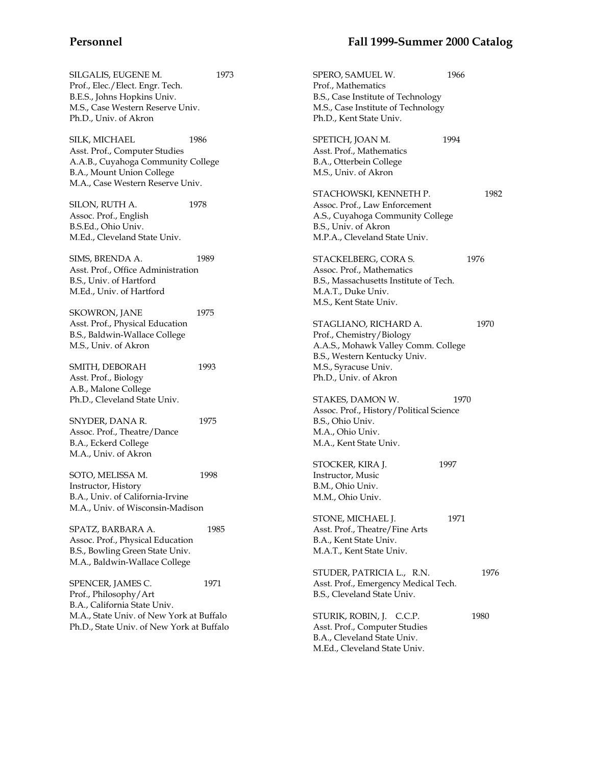SILGALIS, EUGENE M. 1973 Prof., Elec./Elect. Engr. Tech. B.E.S., Johns Hopkins Univ. M.S., Case Western Reserve Univ. Ph.D., Univ. of Akron

SILK, MICHAEL 1986 Asst. Prof., Computer Studies A.A.B., Cuyahoga Community College B.A., Mount Union College M.A., Case Western Reserve Univ.

SILON, RUTH A. 1978 Assoc. Prof., English B.S.Ed., Ohio Univ. M.Ed., Cleveland State Univ.

SIMS, BRENDA A. 1989 Asst. Prof., Office Administration B.S., Univ. of Hartford M.Ed., Univ. of Hartford

SKOWRON, JANE 1975 Asst. Prof., Physical Education B.S., Baldwin-Wallace College M.S., Univ. of Akron

SMITH, DEBORAH 1993 Asst. Prof., Biology A.B., Malone College Ph.D., Cleveland State Univ.

SNYDER, DANA R. 1975 Assoc. Prof., Theatre/Dance B.A., Eckerd College M.A., Univ. of Akron

SOTO, MELISSA M. 1998 Instructor, History B.A., Univ. of California-Irvine M.A., Univ. of Wisconsin-Madison

SPATZ, BARBARA A. (1985) Assoc. Prof., Physical Education B.S., Bowling Green State Univ. M.A., Baldwin-Wallace College

SPENCER, JAMES C. 1971 Prof., Philosophy/Art B.A., California State Univ. M.A., State Univ. of New York at Buffalo Ph.D., State Univ. of New York at Buffalo

## **Personnel Fall 1999-Summer 2000 Catalog**

SPERO, SAMUEL W. 1966 Prof., Mathematics B.S., Case Institute of Technology M.S., Case Institute of Technology Ph.D., Kent State Univ. SPETICH, JOAN M. 1994 Asst. Prof., Mathematics B.A., Otterbein College M.S., Univ. of Akron STACHOWSKI, KENNETH P. 1982 Assoc. Prof., Law Enforcement A.S., Cuyahoga Community College B.S., Univ. of Akron M.P.A., Cleveland State Univ. STACKELBERG, CORA S. 1976 Assoc. Prof., Mathematics B.S., Massachusetts Institute of Tech. M.A.T., Duke Univ. M.S., Kent State Univ. STAGLIANO, RICHARD A. 1970 Prof., Chemistry/Biology A.A.S., Mohawk Valley Comm. College B.S., Western Kentucky Univ. M.S., Syracuse Univ. Ph.D., Univ. of Akron STAKES, DAMON W. 1970 Assoc. Prof., History/Political Science B.S., Ohio Univ. M.A., Ohio Univ. M.A., Kent State Univ. STOCKER, KIRA J. 1997 Instructor, Music B.M., Ohio Univ. M.M., Ohio Univ. STONE, MICHAEL I. 1971 Asst. Prof., Theatre/Fine Arts B.A., Kent State Univ. M.A.T., Kent State Univ. STUDER, PATRICIA L., R.N. 1976 Asst. Prof., Emergency Medical Tech. B.S., Cleveland State Univ. STURIK, ROBIN, J. C.C.P. 1980 Asst. Prof., Computer Studies B.A., Cleveland State Univ. M.Ed., Cleveland State Univ.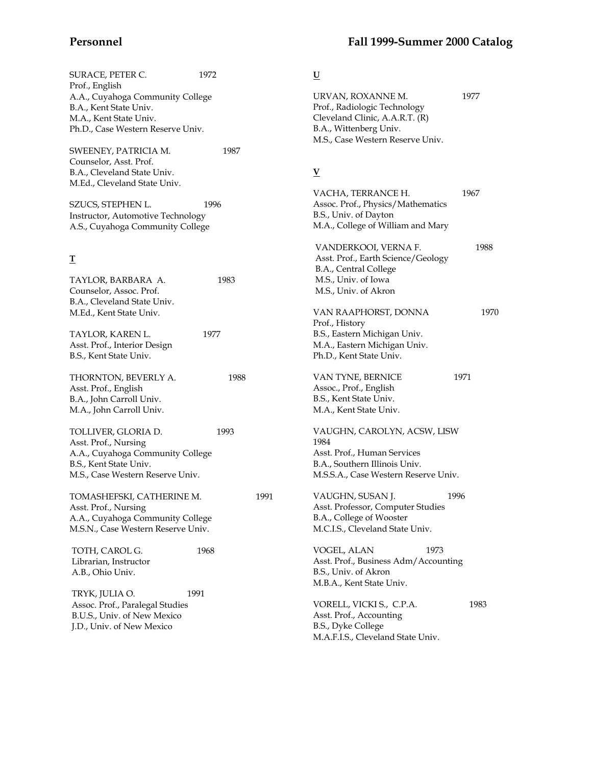| SURACE, PETER C.<br>Prof., English             | 1972 |      | $\underline{\mathtt{U}}$             |      |
|------------------------------------------------|------|------|--------------------------------------|------|
| A.A., Cuyahoga Community College               |      |      | URVAN, ROXANNE M.                    | 1977 |
| B.A., Kent State Univ.                         |      |      | Prof., Radiologic Technology         |      |
| M.A., Kent State Univ.                         |      |      | Cleveland Clinic, A.A.R.T. (R)       |      |
| Ph.D., Case Western Reserve Univ.              |      |      | B.A., Wittenberg Univ.               |      |
|                                                |      |      | M.S., Case Western Reserve Univ.     |      |
| SWEENEY, PATRICIA M.<br>Counselor, Asst. Prof. | 1987 |      |                                      |      |
| B.A., Cleveland State Univ.                    |      |      | $\overline{\mathbf{V}}$              |      |
| M.Ed., Cleveland State Univ.                   |      |      |                                      |      |
|                                                |      |      | VACHA, TERRANCE H.                   | 1967 |
| SZUCS, STEPHEN L.                              | 1996 |      | Assoc. Prof., Physics/Mathematics    |      |
| Instructor, Automotive Technology              |      |      | B.S., Univ. of Dayton                |      |
| A.S., Cuyahoga Community College               |      |      | M.A., College of William and Mary    |      |
|                                                |      |      | VANDERKOOI, VERNA F.                 | 1988 |
| $\mathbf T$                                    |      |      | Asst. Prof., Earth Science/Geology   |      |
|                                                |      |      | B.A., Central College                |      |
| TAYLOR, BARBARA A.                             | 1983 |      | M.S., Univ. of Iowa                  |      |
| Counselor, Assoc. Prof.                        |      |      | M.S., Univ. of Akron                 |      |
| B.A., Cleveland State Univ.                    |      |      |                                      |      |
| M.Ed., Kent State Univ.                        |      |      | VAN RAAPHORST, DONNA                 | 1970 |
|                                                |      |      | Prof., History                       |      |
| TAYLOR, KAREN L.                               | 1977 |      | B.S., Eastern Michigan Univ.         |      |
| Asst. Prof., Interior Design                   |      |      | M.A., Eastern Michigan Univ.         |      |
| B.S., Kent State Univ.                         |      |      | Ph.D., Kent State Univ.              |      |
| THORNTON, BEVERLY A.                           | 1988 |      | VAN TYNE, BERNICE                    | 1971 |
| Asst. Prof., English                           |      |      | Assoc., Prof., English               |      |
| B.A., John Carroll Univ.                       |      |      | B.S., Kent State Univ.               |      |
| M.A., John Carroll Univ.                       |      |      | M.A., Kent State Univ.               |      |
|                                                |      |      |                                      |      |
| TOLLIVER, GLORIA D.<br>Asst. Prof., Nursing    | 1993 |      | VAUGHN, CAROLYN, ACSW, LISW<br>1984  |      |
| A.A., Cuyahoga Community College               |      |      | Asst. Prof., Human Services          |      |
| B.S., Kent State Univ.                         |      |      | B.A., Southern Illinois Univ.        |      |
| M.S., Case Western Reserve Univ.               |      |      | M.S.S.A., Case Western Reserve Univ. |      |
| TOMASHEFSKI, CATHERINE M.                      |      | 1991 | VAUGHN, SUSAN J.                     | 1996 |
| Asst. Prof., Nursing                           |      |      | Asst. Professor, Computer Studies    |      |
| A.A., Cuyahoga Community College               |      |      | B.A., College of Wooster             |      |
| M.S.N., Case Western Reserve Univ.             |      |      | M.C.I.S., Cleveland State Univ.      |      |
|                                                |      |      |                                      |      |
| TOTH, CAROL G.                                 | 1968 |      | VOGEL, ALAN<br>1973                  |      |
| Librarian, Instructor                          |      |      | Asst. Prof., Business Adm/Accounting |      |
| A.B., Ohio Univ.                               |      |      | B.S., Univ. of Akron                 |      |
|                                                |      |      | M.B.A., Kent State Univ.             |      |
| TRYK, JULIA O.                                 | 1991 |      |                                      |      |
| Assoc. Prof., Paralegal Studies                |      |      | VORELL, VICKI S., C.P.A.             | 1983 |
| B.U.S., Univ. of New Mexico                    |      |      | Asst. Prof., Accounting              |      |
| J.D., Univ. of New Mexico                      |      |      | B.S., Dyke College                   |      |
|                                                |      |      | M.A.F.I.S., Cleveland State Univ.    |      |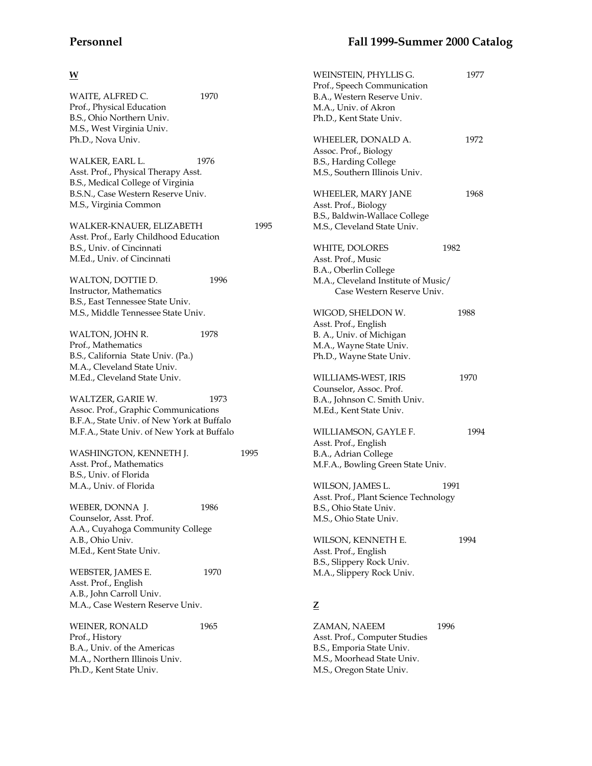| × |  |
|---|--|

| WAITE, ALFRED C.<br>Prof., Physical Education<br>B.S., Ohio Northern Univ.<br>M.S., West Virginia Univ.<br>Ph.D., Nova Univ.                               | 1970 |      |
|------------------------------------------------------------------------------------------------------------------------------------------------------------|------|------|
| WALKER, EARL L.<br>Asst. Prof., Physical Therapy Asst.<br>B.S., Medical College of Virginia<br>B.S.N., Case Western Reserve Univ.<br>M.S., Virginia Common | 1976 |      |
| WALKER-KNAUER, ELIZABETH<br>Asst. Prof., Early Childhood Education<br>B.S., Univ. of Cincinnati<br>M.Ed., Univ. of Cincinnati                              |      | 1995 |
| WALTON, DOTTIE D.<br>Instructor, Mathematics<br>B.S., East Tennessee State Univ.<br>M.S., Middle Tennessee State Univ.                                     | 1996 |      |
| WALTON, JOHN R.<br>Prof., Mathematics<br>B.S., California State Univ. (Pa.)<br>M.A., Cleveland State Univ.<br>M.Ed., Cleveland State Univ.                 | 1978 |      |
| WALTZER, GARIE W.<br>Assoc. Prof., Graphic Communications<br>B.F.A., State Univ. of New York at Buffalo<br>M.F.A., State Univ. of New York at Buffalo      | 1973 |      |
| WASHINGTON, KENNETH J.<br>Asst. Prof., Mathematics<br>B.S., Univ. of Florida<br>M.A., Univ. of Florida                                                     |      | 1995 |
| WEBER, DONNA J.<br>Counselor, Asst. Prof.<br>A.A., Cuyahoga Community College<br>A.B., Ohio Univ.<br>M.Ed., Kent State Univ.                               | 1986 |      |
| WEBSTER, JAMES E.<br>Asst. Prof., English<br>A.B., John Carroll Univ.<br>M.A., Case Western Reserve Univ.                                                  | 1970 |      |
| WEINER, RONALD<br>Prof., History<br>B.A., Univ. of the Americas<br>M.A., Northern Illinois Univ.<br>Ph.D., Kent State Univ.                                | 1965 |      |

| WEINSTEIN, PHYLLIS G.<br>Prof., Speech Communication<br>B.A., Western Reserve Univ.<br>M.A., Univ. of Akron<br>Ph.D., Kent State Univ. | 1977 |
|----------------------------------------------------------------------------------------------------------------------------------------|------|
| WHEELER, DONALD A.<br>Assoc. Prof., Biology<br>B.S., Harding College<br>M.S., Southern Illinois Univ.                                  | 1972 |
| WHEELER, MARY JANE<br>Asst. Prof., Biology<br>B.S., Baldwin-Wallace College<br>M.S., Cleveland State Univ.                             | 1968 |
| WHITE, DOLORES<br>Asst. Prof., Music<br>B.A., Oberlin College<br>M.A., Cleveland Institute of Music/<br>Case Western Reserve Univ.     | 1982 |
| WIGOD, SHELDON W.<br>Asst. Prof., English<br>B. A., Univ. of Michigan<br>M.A., Wayne State Univ.<br>Ph.D., Wayne State Univ.           | 1988 |
| WILLIAMS-WEST, IRIS<br>Counselor, Assoc. Prof.<br>B.A., Johnson C. Smith Univ.<br>M.Ed., Kent State Univ.                              | 1970 |
| WILLIAMSON, GAYLE F.<br>Asst. Prof., English<br>B.A., Adrian College<br>M.F.A., Bowling Green State Univ.                              | 1994 |
| WILSON, JAMES L.<br>Asst. Prof., Plant Science Technology<br>B.S., Ohio State Univ.<br>M.S., Ohio State Univ.                          | 1991 |
| WILSON, KENNETH E.<br>Asst. Prof., English<br>B.S., Slippery Rock Univ.<br>M.A., Slippery Rock Univ.                                   | 1994 |
| <u>z</u>                                                                                                                               |      |
| ZAMAN. NAEEM                                                                                                                           | 1996 |

ZAMAN, NAEEM 1996 Asst. Prof., Computer Studies B.S., Emporia State Univ. M.S., Moorhead State Univ. M.S., Oregon State Univ.